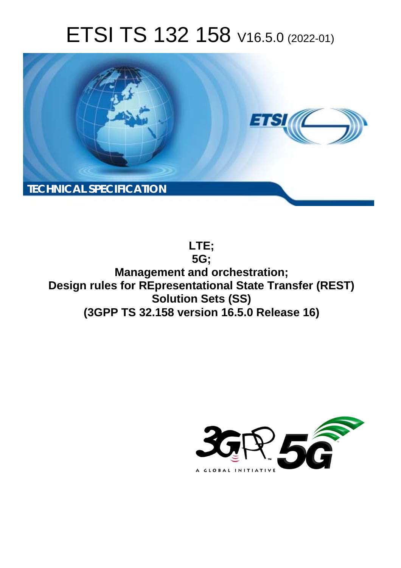# ETSI TS 132 158 V16.5.0 (2022-01)



**LTE; 5G; Management and orchestration; Design rules for REpresentational State Transfer (REST) Solution Sets (SS) (3GPP TS 32.158 version 16.5.0 Release 16)** 

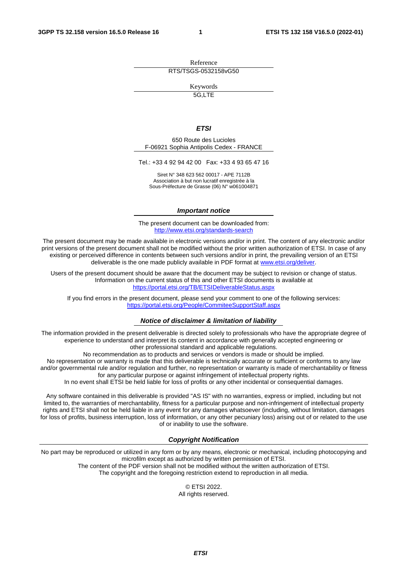Reference RTS/TSGS-0532158vG50

Keywords

5G,LTE

#### *ETSI*

650 Route des Lucioles F-06921 Sophia Antipolis Cedex - FRANCE

Tel.: +33 4 92 94 42 00 Fax: +33 4 93 65 47 16

Siret N° 348 623 562 00017 - APE 7112B Association à but non lucratif enregistrée à la Sous-Préfecture de Grasse (06) N° w061004871

#### *Important notice*

The present document can be downloaded from: <http://www.etsi.org/standards-search>

The present document may be made available in electronic versions and/or in print. The content of any electronic and/or print versions of the present document shall not be modified without the prior written authorization of ETSI. In case of any existing or perceived difference in contents between such versions and/or in print, the prevailing version of an ETSI deliverable is the one made publicly available in PDF format at [www.etsi.org/deliver](http://www.etsi.org/deliver).

Users of the present document should be aware that the document may be subject to revision or change of status. Information on the current status of this and other ETSI documents is available at <https://portal.etsi.org/TB/ETSIDeliverableStatus.aspx>

If you find errors in the present document, please send your comment to one of the following services: <https://portal.etsi.org/People/CommiteeSupportStaff.aspx>

#### *Notice of disclaimer & limitation of liability*

The information provided in the present deliverable is directed solely to professionals who have the appropriate degree of experience to understand and interpret its content in accordance with generally accepted engineering or other professional standard and applicable regulations.

No recommendation as to products and services or vendors is made or should be implied.

No representation or warranty is made that this deliverable is technically accurate or sufficient or conforms to any law and/or governmental rule and/or regulation and further, no representation or warranty is made of merchantability or fitness for any particular purpose or against infringement of intellectual property rights.

In no event shall ETSI be held liable for loss of profits or any other incidental or consequential damages.

Any software contained in this deliverable is provided "AS IS" with no warranties, express or implied, including but not limited to, the warranties of merchantability, fitness for a particular purpose and non-infringement of intellectual property rights and ETSI shall not be held liable in any event for any damages whatsoever (including, without limitation, damages for loss of profits, business interruption, loss of information, or any other pecuniary loss) arising out of or related to the use of or inability to use the software.

#### *Copyright Notification*

No part may be reproduced or utilized in any form or by any means, electronic or mechanical, including photocopying and microfilm except as authorized by written permission of ETSI. The content of the PDF version shall not be modified without the written authorization of ETSI.

The copyright and the foregoing restriction extend to reproduction in all media.

© ETSI 2022. All rights reserved.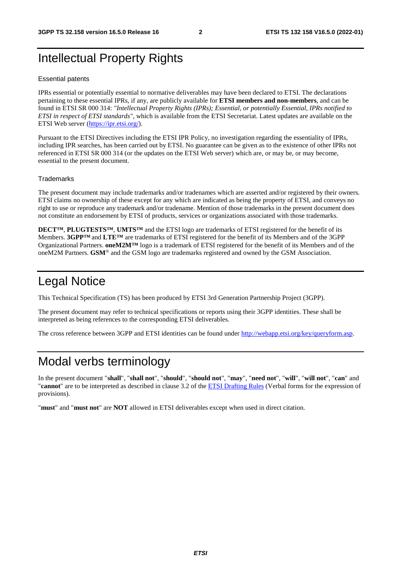# Intellectual Property Rights

#### Essential patents

IPRs essential or potentially essential to normative deliverables may have been declared to ETSI. The declarations pertaining to these essential IPRs, if any, are publicly available for **ETSI members and non-members**, and can be found in ETSI SR 000 314: *"Intellectual Property Rights (IPRs); Essential, or potentially Essential, IPRs notified to ETSI in respect of ETSI standards"*, which is available from the ETSI Secretariat. Latest updates are available on the ETSI Web server ([https://ipr.etsi.org/\)](https://ipr.etsi.org/).

Pursuant to the ETSI Directives including the ETSI IPR Policy, no investigation regarding the essentiality of IPRs, including IPR searches, has been carried out by ETSI. No guarantee can be given as to the existence of other IPRs not referenced in ETSI SR 000 314 (or the updates on the ETSI Web server) which are, or may be, or may become, essential to the present document.

#### **Trademarks**

The present document may include trademarks and/or tradenames which are asserted and/or registered by their owners. ETSI claims no ownership of these except for any which are indicated as being the property of ETSI, and conveys no right to use or reproduce any trademark and/or tradename. Mention of those trademarks in the present document does not constitute an endorsement by ETSI of products, services or organizations associated with those trademarks.

**DECT™**, **PLUGTESTS™**, **UMTS™** and the ETSI logo are trademarks of ETSI registered for the benefit of its Members. **3GPP™** and **LTE™** are trademarks of ETSI registered for the benefit of its Members and of the 3GPP Organizational Partners. **oneM2M™** logo is a trademark of ETSI registered for the benefit of its Members and of the oneM2M Partners. **GSM**® and the GSM logo are trademarks registered and owned by the GSM Association.

# Legal Notice

This Technical Specification (TS) has been produced by ETSI 3rd Generation Partnership Project (3GPP).

The present document may refer to technical specifications or reports using their 3GPP identities. These shall be interpreted as being references to the corresponding ETSI deliverables.

The cross reference between 3GPP and ETSI identities can be found under<http://webapp.etsi.org/key/queryform.asp>.

# Modal verbs terminology

In the present document "**shall**", "**shall not**", "**should**", "**should not**", "**may**", "**need not**", "**will**", "**will not**", "**can**" and "**cannot**" are to be interpreted as described in clause 3.2 of the [ETSI Drafting Rules](https://portal.etsi.org/Services/editHelp!/Howtostart/ETSIDraftingRules.aspx) (Verbal forms for the expression of provisions).

"**must**" and "**must not**" are **NOT** allowed in ETSI deliverables except when used in direct citation.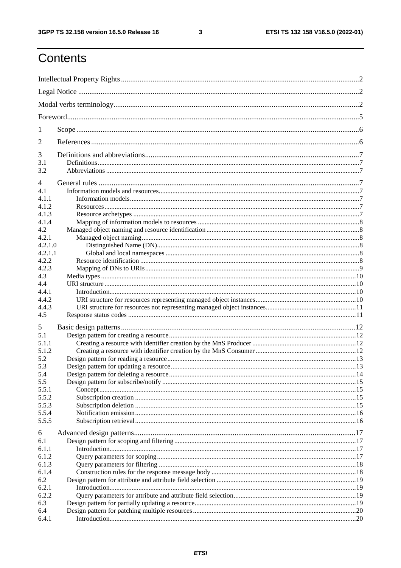$\mathbf{3}$ 

# Contents

| 1          |  |
|------------|--|
| 2          |  |
| 3          |  |
| 3.1<br>3.2 |  |
| 4          |  |
| 4.1        |  |
| 4.1.1      |  |
| 4.1.2      |  |
| 4.1.3      |  |
| 4.1.4      |  |
| 4.2        |  |
| 4.2.1      |  |
| 4.2.1.0    |  |
| 4.2.1.1    |  |
| 4.2.2      |  |
| 4.2.3      |  |
| 4.3        |  |
| 4.4        |  |
| 4.4.1      |  |
| 4.4.2      |  |
| 4.4.3      |  |
| 4.5        |  |
| 5          |  |
| 5.1        |  |
| 5.1.1      |  |
| 5.1.2      |  |
| 5.2        |  |
| 5.3        |  |
| 5.4        |  |
| 5.5        |  |
| 5.5.1      |  |
| 5.5.2      |  |
| 5.5.3      |  |
| 5.5.4      |  |
| 5.5.5      |  |
| 6          |  |
| 6.1        |  |
| 6.1.1      |  |
| 6.1.2      |  |
| 6.1.3      |  |
| 6.1.4      |  |
| 6.2        |  |
| 6.2.1      |  |
| 6.2.2      |  |
| 6.3        |  |
| 6.4        |  |
| 6.4.1      |  |
|            |  |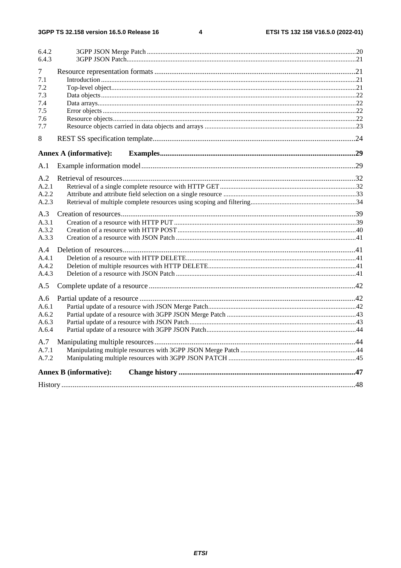$\overline{\mathbf{4}}$ 

| 6.4.2 |                               |  |
|-------|-------------------------------|--|
| 6.4.3 |                               |  |
| 7     |                               |  |
| 7.1   |                               |  |
| 7.2   |                               |  |
| 7.3   |                               |  |
| 7.4   |                               |  |
| 7.5   |                               |  |
| 7.6   |                               |  |
| 7.7   |                               |  |
| 8     |                               |  |
|       | <b>Annex A (informative):</b> |  |
| A.1   |                               |  |
| A.2   |                               |  |
| A.2.1 |                               |  |
| A.2.2 |                               |  |
| A.2.3 |                               |  |
| A.3   |                               |  |
| A.3.1 |                               |  |
| A.3.2 |                               |  |
| A.3.3 |                               |  |
| A.4   |                               |  |
| A.4.1 |                               |  |
| A.4.2 |                               |  |
| A.4.3 |                               |  |
| A.5   |                               |  |
| A.6   |                               |  |
| A.6.1 |                               |  |
| A.6.2 |                               |  |
| A.6.3 |                               |  |
| A.6.4 |                               |  |
| A.7   |                               |  |
| A.7.1 |                               |  |
| A.7.2 |                               |  |
|       | <b>Annex B</b> (informative): |  |
|       |                               |  |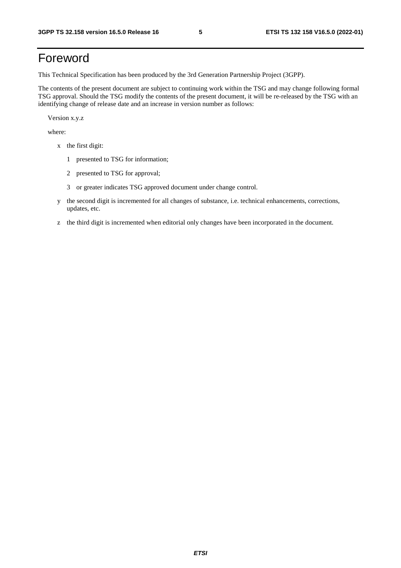# Foreword

This Technical Specification has been produced by the 3rd Generation Partnership Project (3GPP).

The contents of the present document are subject to continuing work within the TSG and may change following formal TSG approval. Should the TSG modify the contents of the present document, it will be re-released by the TSG with an identifying change of release date and an increase in version number as follows:

Version x.y.z

where:

- x the first digit:
	- 1 presented to TSG for information;
	- 2 presented to TSG for approval;
	- 3 or greater indicates TSG approved document under change control.
- y the second digit is incremented for all changes of substance, i.e. technical enhancements, corrections, updates, etc.
- z the third digit is incremented when editorial only changes have been incorporated in the document.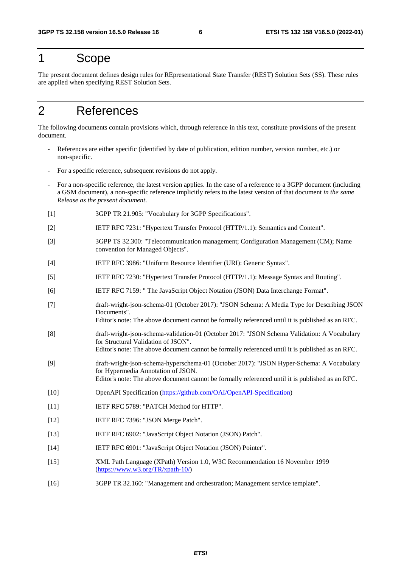# 1 Scope

The present document defines design rules for REpresentational State Transfer (REST) Solution Sets (SS). These rules are applied when specifying REST Solution Sets.

# 2 References

The following documents contain provisions which, through reference in this text, constitute provisions of the present document.

- References are either specific (identified by date of publication, edition number, version number, etc.) or non-specific.
- For a specific reference, subsequent revisions do not apply.
- For a non-specific reference, the latest version applies. In the case of a reference to a 3GPP document (including a GSM document), a non-specific reference implicitly refers to the latest version of that document *in the same Release as the present document*.
- [1] 3GPP TR 21.905: "Vocabulary for 3GPP Specifications".
- [2] IETF RFC 7231: "Hypertext Transfer Protocol (HTTP/1.1): Semantics and Content".
- [3] 3GPP TS 32.300: "Telecommunication management; Configuration Management (CM); Name convention for Managed Objects".
- [4] IETF RFC 3986: "Uniform Resource Identifier (URI): Generic Syntax".
- [5] IETF RFC 7230: "Hypertext Transfer Protocol (HTTP/1.1): Message Syntax and Routing".
- [6] IETF RFC 7159: " The JavaScript Object Notation (JSON) Data Interchange Format".
- [7] draft-wright-json-schema-01 (October 2017): "JSON Schema: A Media Type for Describing JSON Documents". Editor's note: The above document cannot be formally referenced until it is published as an RFC.
- [8] draft-wright-json-schema-validation-01 (October 2017: "JSON Schema Validation: A Vocabulary
- for Structural Validation of JSON". Editor's note: The above document cannot be formally referenced until it is published as an RFC.
- [9] draft-wright-json-schema-hyperschema-01 (October 2017): "JSON Hyper-Schema: A Vocabulary for Hypermedia Annotation of JSON. Editor's note: The above document cannot be formally referenced until it is published as an RFC.
- [10] OpenAPI Specification [\(https://github.com/OAI/OpenAPI-Specification\)](https://github.com/OAI/OpenAPI-Specification)
- [11] **IETF RFC 5789: "PATCH Method for HTTP".**
- [12] **IETF RFC 7396: "JSON Merge Patch".**
- [13] IETF RFC 6902: "JavaScript Object Notation (JSON) Patch".
- [14] IETF RFC 6901: "JavaScript Object Notation (JSON) Pointer".
- [15] XML Path Language (XPath) Version 1.0, W3C Recommendation 16 November 1999 ([https://www.w3.org/TR/xpath-10/\)](https://www.w3.org/TR/xpath-10/)
- [16] 3GPP TR 32.160: "Management and orchestration; Management service template".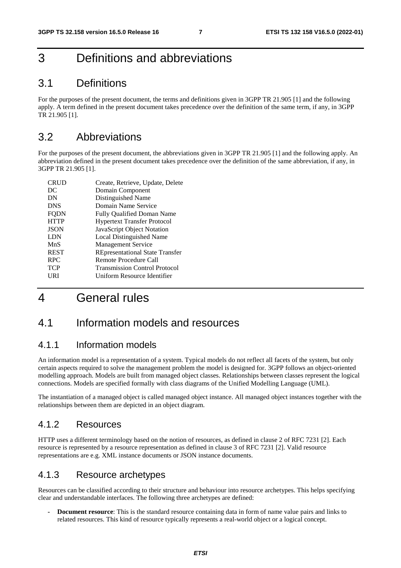# 3 Definitions and abbreviations

### 3.1 Definitions

For the purposes of the present document, the terms and definitions given in 3GPP TR 21.905 [1] and the following apply. A term defined in the present document takes precedence over the definition of the same term, if any, in 3GPP TR 21.905 [1].

### 3.2 Abbreviations

For the purposes of the present document, the abbreviations given in 3GPP TR 21.905 [1] and the following apply. An abbreviation defined in the present document takes precedence over the definition of the same abbreviation, if any, in 3GPP TR 21.905 [1].

| <b>CRUD</b> | Create, Retrieve, Update, Delete       |
|-------------|----------------------------------------|
| DC          | Domain Component                       |
| DN          | Distinguished Name                     |
| <b>DNS</b>  | Domain Name Service                    |
| <b>FODN</b> | <b>Fully Qualified Doman Name</b>      |
| <b>HTTP</b> | <b>Hypertext Transfer Protocol</b>     |
| <b>JSON</b> | JavaScript Object Notation             |
| <b>LDN</b>  | Local Distinguished Name               |
| MnS         | <b>Management Service</b>              |
| <b>REST</b> | <b>REpresentational State Transfer</b> |
| <b>RPC</b>  | Remote Procedure Call                  |
| <b>TCP</b>  | <b>Transmission Control Protocol</b>   |
| URI         | Uniform Resource Identifier            |

# 4 General rules

### 4.1 Information models and resources

#### 4.1.1 Information models

An information model is a representation of a system. Typical models do not reflect all facets of the system, but only certain aspects required to solve the management problem the model is designed for. 3GPP follows an object-oriented modelling approach. Models are built from managed object classes. Relationships between classes represent the logical connections. Models are specified formally with class diagrams of the Unified Modelling Language (UML).

The instantiation of a managed object is called managed object instance. All managed object instances together with the relationships between them are depicted in an object diagram.

#### 4.1.2 Resources

HTTP uses a different terminology based on the notion of resources, as defined in clause 2 of RFC 7231 [2]. Each resource is represented by a resource representation as defined in clause 3 of RFC 7231 [2]. Valid resource representations are e.g. XML instance documents or JSON instance documents.

#### 4.1.3 Resource archetypes

Resources can be classified according to their structure and behaviour into resource archetypes. This helps specifying clear and understandable interfaces. The following three archetypes are defined:

**- Document resource**: This is the standard resource containing data in form of name value pairs and links to related resources. This kind of resource typically represents a real-world object or a logical concept.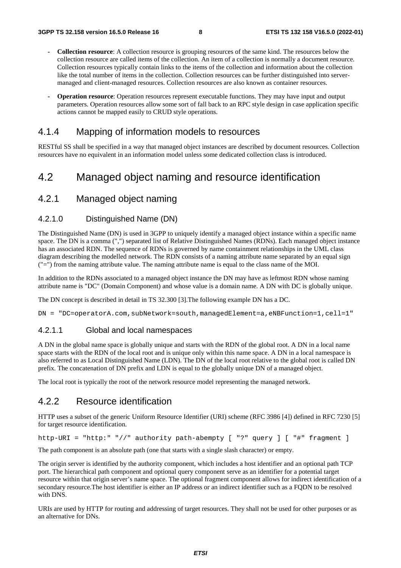- **Collection resource**: A collection resource is grouping resources of the same kind. The resources below the collection resource are called items of the collection. An item of a collection is normally a document resource. Collection resources typically contain links to the items of the collection and information about the collection like the total number of items in the collection. Collection resources can be further distinguished into servermanaged and client-managed resources. Collection resources are also known as container resources.
- **Operation resource**: Operation resources represent executable functions. They may have input and output parameters. Operation resources allow some sort of fall back to an RPC style design in case application specific actions cannot be mapped easily to CRUD style operations.

#### 4.1.4 Mapping of information models to resources

RESTful SS shall be specified in a way that managed object instances are described by document resources. Collection resources have no equivalent in an information model unless some dedicated collection class is introduced.

### 4.2 Managed object naming and resource identification

#### 4.2.1 Managed object naming

#### 4.2.1.0 Distinguished Name (DN)

The Distinguished Name (DN) is used in 3GPP to uniquely identify a managed object instance within a specific name space. The DN is a comma (",") separated list of Relative Distinguished Names (RDNs). Each managed object instance has an associated RDN. The sequence of RDNs is governed by name containment relationships in the UML class diagram describing the modelled network. The RDN consists of a naming attribute name separated by an equal sign ("=") from the naming attribute value. The naming attribute name is equal to the class name of the MOI.

In addition to the RDNs associated to a managed object instance the DN may have as leftmost RDN whose naming attribute name is "DC" (Domain Component) and whose value is a domain name. A DN with DC is globally unique.

The DN concept is described in detail in TS 32.300 [3].The following example DN has a DC.

DN = "DC=operatorA.com, subNetwork=south, managedElement=a, eNBFunction=1, cell=1"

#### 4.2.1.1 Global and local namespaces

A DN in the global name space is globally unique and starts with the RDN of the global root. A DN in a local name space starts with the RDN of the local root and is unique only within this name space. A DN in a local namespace is also referred to as Local Distinguished Name (LDN). The DN of the local root relative to the global root is called DN prefix. The concatenation of DN prefix and LDN is equal to the globally unique DN of a managed object.

The local root is typically the root of the network resource model representing the managed network.

#### 4.2.2 Resource identification

HTTP uses a subset of the generic Uniform Resource Identifier (URI) scheme (RFC 3986 [4]) defined in RFC 7230 [5] for target resource identification.

http-URI = "http:" "//" authority path-abempty [ "?" query ] [ "#" fragment ]

The path component is an absolute path (one that starts with a single slash character) or empty.

The origin server is identified by the authority component, which includes a host identifier and an optional path TCP port. The hierarchical path component and optional query component serve as an identifier for a potential target resource within that origin server's name space. The optional fragment component allows for indirect identification of a secondary resource.The host identifier is either an IP address or an indirect identifier such as a FQDN to be resolved with DNS.

URIs are used by HTTP for routing and addressing of target resources. They shall not be used for other purposes or as an alternative for DNs.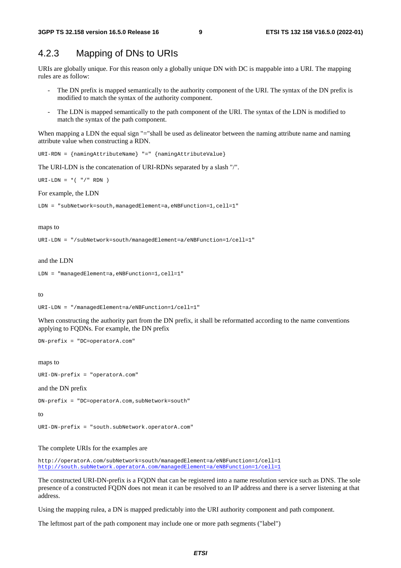### 4.2.3 Mapping of DNs to URIs

URIs are globally unique. For this reason only a globally unique DN with DC is mappable into a URI. The mapping rules are as follow:

- The DN prefix is mapped semantically to the authority component of the URI. The syntax of the DN prefix is modified to match the syntax of the authority component.
- The LDN is mapped semantically to the path component of the URI. The syntax of the LDN is modified to match the syntax of the path component.

When mapping a LDN the equal sign "="shall be used as delineator between the naming attribute name and naming attribute value when constructing a RDN.

```
URI-RDN = {namingAttributeName} "=" {namingAttributeValue}
```
The URI-LDN is the concatenation of URI-RDNs separated by a slash "/".

URI-LDN =  $*($  "/" RDN )

For example, the LDN

```
LDN = "subNetwork=south,managedElement=a,eNBFunction=1,cell=1"
```
#### maps to

```
URI-LDN = "/subNetwork=south/managedElement=a/eNBFunction=1/cell=1"
```
#### and the LDN

```
LDN = "managedElement=a,eNBFunction=1,cell=1"
```
to

```
URI-LDN = "/managedElement=a/eNBFunction=1/cell=1"
```
When constructing the authority part from the DN prefix, it shall be reformatted according to the name conventions applying to FQDNs. For example, the DN prefix

DN-prefix = "DC=operatorA.com"

maps to

```
URI-DN-prefix = "operatorA.com"
```
#### and the DN prefix

DN-prefix = "DC=operatorA.com,subNetwork=south"

#### to

URI-DN-prefix = "south.subNetwork.operatorA.com"

The complete URIs for the examples are

http://operatorA.com/subNetwork=south/managedElement=a/eNBFunction=1/cell=1 http://south.subNetwork.operatorA.com/managedElement=a/eNBFunction=1/cell=1

The constructed URI-DN-prefix is a FQDN that can be registered into a name resolution service such as DNS. The sole presence of a constructed FQDN does not mean it can be resolved to an IP address and there is a server listening at that address.

Using the mapping rulea, a DN is mapped predictably into the URI authority component and path component.

The leftmost part of the path component may include one or more path segments ("label")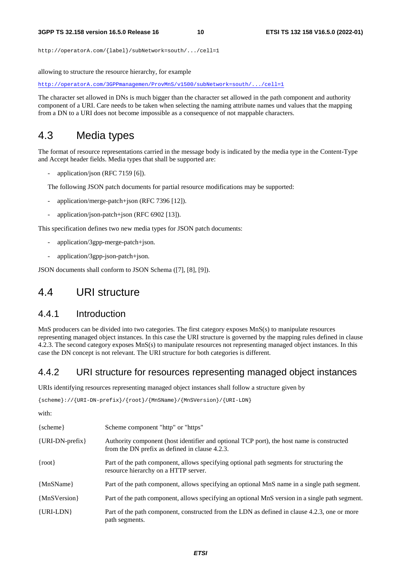http://operatorA.com/{label}/subNetwork=south/.../cell=1

allowing to structure the resource hierarchy, for example

http://operatorA.com/3GPPmanagemen/ProvMnS/v1500/subNetwork=south/.../cell=1

The character set allowed in DNs is much bigger than the character set allowed in the path component and authority component of a URI. Care needs to be taken when selecting the naming attribute names und values that the mapping from a DN to a URI does not become impossible as a consequence of not mappable characters.

#### 4.3 Media types

The format of resource representations carried in the message body is indicated by the media type in the Content-Type and Accept header fields. Media types that shall be supported are:

application/json (RFC 7159 [6]).

The following JSON patch documents for partial resource modifications may be supported:

- application/merge-patch+json (RFC 7396 [12]).
- application/json-patch+json (RFC 6902 [13]).

This specification defines two new media types for JSON patch documents:

- application/3gpp-merge-patch+json.
- application/3gpp-json-patch+json.

JSON documents shall conform to JSON Schema ([7], [8], [9]).

### 4.4 URI structure

#### 4.4.1 Introduction

MnS producers can be divided into two categories. The first category exposes MnS(s) to manipulate resources representing managed object instances. In this case the URI structure is governed by the mapping rules defined in clause 4.2.3. The second category exposes MnS(s) to manipulate resources not representing managed object instances. In this case the DN concept is not relevant. The URI structure for both categories is different.

#### 4.4.2 URI structure for resources representing managed object instances

URIs identifying resources representing managed object instances shall follow a structure given by

{scheme}://{URI-DN-prefix}/{root}/{MnSName}/{MnSVersion}/{URI-LDN}

with:

| $\{scheme\}$               | Scheme component "http" or "https"                                                                                                          |
|----------------------------|---------------------------------------------------------------------------------------------------------------------------------------------|
| $\{URI-DN\text{-}prefix\}$ | Authority component (host identifier and optional TCP port), the host name is constructed<br>from the DN prefix as defined in clause 4.2.3. |
| $\{root\}$                 | Part of the path component, allows specifying optional path segments for structuring the<br>resource hierarchy on a HTTP server.            |
| {MnSName}                  | Part of the path component, allows specifying an optional MnS name in a single path segment.                                                |
| {MnSVersion}               | Part of the path component, allows specifying an optional MnS version in a single path segment.                                             |
| $\{URI-LDN\}$              | Part of the path component, constructed from the LDN as defined in clause 4.2.3, one or more<br>path segments.                              |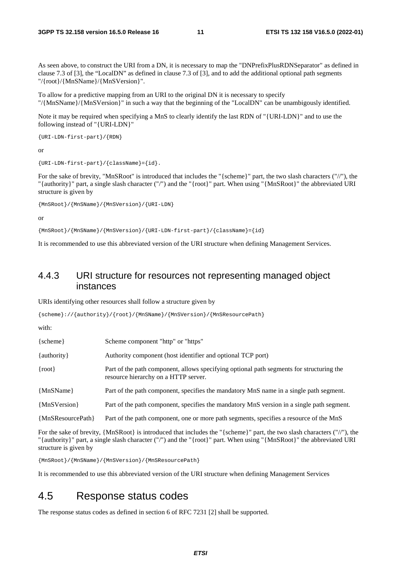As seen above, to construct the URI from a DN, it is necessary to map the "DNPrefixPlusRDNSeparator" as defined in clause 7.3 of [3], the "LocalDN" as defined in clause 7.3 of [3], and to add the additional optional path segments "/{root}/{MnSName}/{MnSVersion}".

To allow for a predictive mapping from an URI to the original DN it is necessary to specify "/{MnSName}/{MnSVersion}" in such a way that the beginning of the "LocalDN" can be unambigously identified.

Note it may be required when specifying a MnS to clearly identify the last RDN of "{URI-LDN}" and to use the following instead of "{URI-LDN}"

```
{URI-LDN-first-part}/{RDN}
```
or

```
{URI-LDN-first-part}/{className}={id}.
```
For the sake of brevity, "MnSRoot" is introduced that includes the "{scheme}" part, the two slash characters ("//"), the "{authority}" part, a single slash character ("/") and the "{root}" part. When using "{MnSRoot}" the abbreviated URI structure is given by

{MnSRoot}/{MnSName}/{MnSVersion}/{URI-LDN}

or

{MnSRoot}/{MnSName}/{MnSVersion}/{URI-LDN-first-part}/{className}={id}

It is recommended to use this abbreviated version of the URI structure when defining Management Services.

#### 4.4.3 URI structure for resources not representing managed object instances

URIs identifying other resources shall follow a structure given by

```
{scheme}://{authority}/{root}/{MnSName}/{MnSVersion}/{MnSResourcePath}
```
with:

| $\{scheme\}$        | Scheme component "http" or "https"                                                                                               |
|---------------------|----------------------------------------------------------------------------------------------------------------------------------|
| $\{$ authority $\}$ | Authority component (host identifier and optional TCP port)                                                                      |
| $\{root\}$          | Part of the path component, allows specifying optional path segments for structuring the<br>resource hierarchy on a HTTP server. |
| {MnSName}           | Part of the path component, specifies the mandatory MnS name in a single path segment.                                           |
| {MnSVersion}        | Part of the path component, specifies the mandatory MnS version in a single path segment.                                        |
| {MnSResourcePath}   | Part of the path component, one or more path segments, specifies a resource of the MnS                                           |

For the sake of brevity, {MnSRoot} is introduced that includes the "{scheme}" part, the two slash characters ("//"), the "{authority}" part, a single slash character ("/") and the "{root}" part. When using "{MnSRoot}" the abbreviated URI structure is given by

{MnSRoot}/{MnSName}/{MnSVersion}/{MnSResourcePath}

It is recommended to use this abbreviated version of the URI structure when defining Management Services

### 4.5 Response status codes

The response status codes as defined in section 6 of RFC 7231 [2] shall be supported.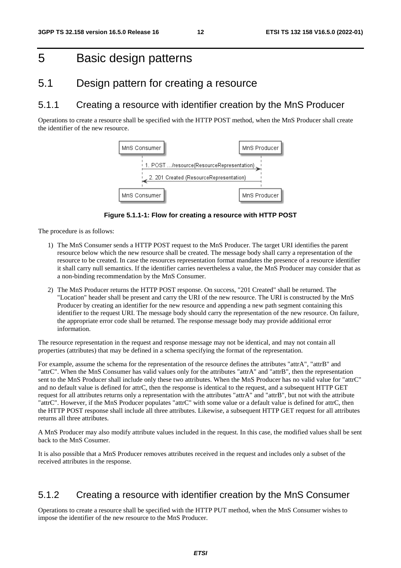# 5 Basic design patterns

### 5.1 Design pattern for creating a resource

### 5.1.1 Creating a resource with identifier creation by the MnS Producer

Operations to create a resource shall be specified with the HTTP POST method, when the MnS Producer shall create the identifier of the new resource.



**Figure 5.1.1-1: Flow for creating a resource with HTTP POST** 

The procedure is as follows:

- 1) The MnS Consumer sends a HTTP POST request to the MnS Producer. The target URI identifies the parent resource below which the new resource shall be created. The message body shall carry a representation of the resource to be created. In case the resources representation format mandates the presence of a resource identifier it shall carry null semantics. If the identifier carries nevertheless a value, the MnS Producer may consider that as a non-binding recommendation by the MnS Consumer.
- 2) The MnS Producer returns the HTTP POST response. On success, "201 Created" shall be returned. The "Location" header shall be present and carry the URI of the new resource. The URI is constructed by the MnS Producer by creating an identifier for the new resource and appending a new path segment containing this identifier to the request URI. The message body should carry the representation of the new resource. On failure, the appropriate error code shall be returned. The response message body may provide additional error information.

The resource representation in the request and response message may not be identical, and may not contain all properties (attributes) that may be defined in a schema specifying the format of the representation.

For example, assume the schema for the representation of the resource defines the attributes "attrA", "attrB" and "attrC". When the MnS Consumer has valid values only for the attributes "attrA" and "attrB", then the representation sent to the MnS Producer shall include only these two attributes. When the MnS Producer has no valid value for "attrC" and no default value is defined for attrC, then the response is identical to the request, and a subsequent HTTP GET request for all attributes returns only a representation with the attributes "attrA" and "attrB", but not with the attribute "attrC". However, if the MnS Producer populates "attrC" with some value or a default value is defined for attrC, then the HTTP POST response shall include all three attributes. Likewise, a subsequent HTTP GET request for all attributes returns all three attributes.

A MnS Producer may also modify attribute values included in the request. In this case, the modified values shall be sent back to the MnS Cosumer.

It is also possible that a MnS Producer removes attributes received in the request and includes only a subset of the received attributes in the response.

#### 5.1.2 Creating a resource with identifier creation by the MnS Consumer

Operations to create a resource shall be specified with the HTTP PUT method, when the MnS Consumer wishes to impose the identifier of the new resource to the MnS Producer.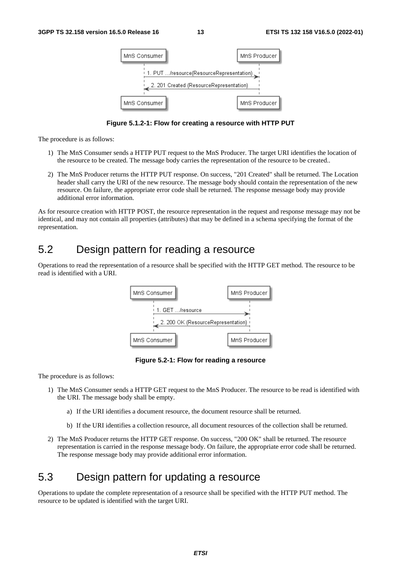

**Figure 5.1.2-1: Flow for creating a resource with HTTP PUT** 

- 1) The MnS Consumer sends a HTTP PUT request to the MnS Producer. The target URI identifies the location of the resource to be created. The message body carries the representation of the resource to be created..
- 2) The MnS Producer returns the HTTP PUT response. On success, "201 Created" shall be returned. The Location header shall carry the URI of the new resource. The message body should contain the representation of the new resource. On failure, the appropriate error code shall be returned. The response message body may provide additional error information.

As for resource creation with HTTP POST, the resource representation in the request and response message may not be identical, and may not contain all properties (attributes) that may be defined in a schema specifying the format of the representation.

# 5.2 Design pattern for reading a resource

Operations to read the representation of a resource shall be specified with the HTTP GET method. The resource to be read is identified with a URI.



**Figure 5.2-1: Flow for reading a resource** 

The procedure is as follows:

- 1) The MnS Consumer sends a HTTP GET request to the MnS Producer. The resource to be read is identified with the URI. The message body shall be empty.
	- a) If the URI identifies a document resource, the document resource shall be returned.
	- b) If the URI identifies a collection resource, all document resources of the collection shall be returned.
- 2) The MnS Producer returns the HTTP GET response. On success, "200 OK" shall be returned. The resource representation is carried in the response message body. On failure, the appropriate error code shall be returned. The response message body may provide additional error information.

## 5.3 Design pattern for updating a resource

Operations to update the complete representation of a resource shall be specified with the HTTP PUT method. The resource to be updated is identified with the target URI.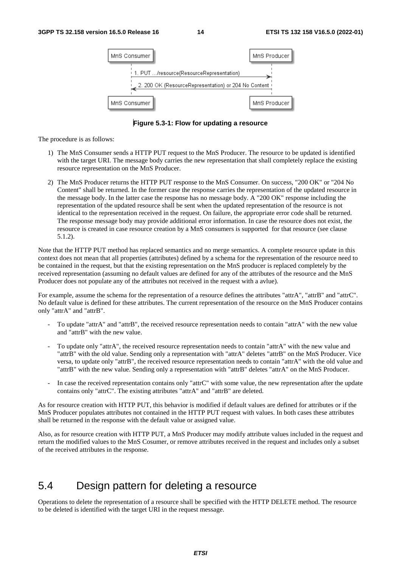

**Figure 5.3-1: Flow for updating a resource** 

- 1) The MnS Consumer sends a HTTP PUT request to the MnS Producer. The resource to be updated is identified with the target URI. The message body carries the new representation that shall completely replace the existing resource representation on the MnS Producer.
- 2) The MnS Producer returns the HTTP PUT response to the MnS Consumer. On success, "200 OK" or "204 No Content" shall be returned. In the former case the response carries the representation of the updated resource in the message body. In the latter case the response has no message body. A "200 OK" response including the representation of the updated resource shall be sent when the updated representation of the resource is not identical to the representation received in the request. On failure, the appropriate error code shall be returned. The response message body may provide additional error information. In case the resource does not exist, the resource is created in case resource creation by a MnS consumers is supported for that resource (see clause 5.1.2).

Note that the HTTP PUT method has replaced semantics and no merge semantics. A complete resource update in this context does not mean that all properties (attributes) defined by a schema for the representation of the resource need to be contained in the request, but that the existing representation on the MnS producer is replaced completely by the received representation (assuming no default values are defined for any of the attributes of the resource and the MnS Producer does not populate any of the attributes not received in the request with a avlue).

For example, assume the schema for the representation of a resource defines the attributes "attrA", "attrB" and "attrC". No default value is defined for these attributes. The current representation of the resource on the MnS Producer contains only "attrA" and "attrB".

- To update "attrA" and "attrB", the received resource representation needs to contain "attrA" with the new value and "attrB" with the new value.
- To update only "attrA", the received resource representation needs to contain "attrA" with the new value and "attrB" with the old value. Sending only a representation with "attrA" deletes "attrB" on the MnS Producer. Vice versa, to update only "attrB", the received resource representation needs to contain "attrA" with the old value and "attrB" with the new value. Sending only a representation with "attrB" deletes "attrA" on the MnS Producer.
- In case the received representation contains only "attrC" with some value, the new representation after the update contains only "attrC". The existing attributes "attrA" and "attrB" are deleted.

As for resource creation with HTTP PUT, this behavior is modified if default values are defined for attributes or if the MnS Producer populates attributes not contained in the HTTP PUT request with values. In both cases these attributes shall be returned in the response with the default value or assigned value.

Also, as for resource creation with HTTP PUT, a MnS Producer may modify attribute values included in the request and return the modified values to the MnS Cosumer, or remove attributes received in the request and includes only a subset of the received attributes in the response.

### 5.4 Design pattern for deleting a resource

Operations to delete the representation of a resource shall be specified with the HTTP DELETE method. The resource to be deleted is identified with the target URI in the request message.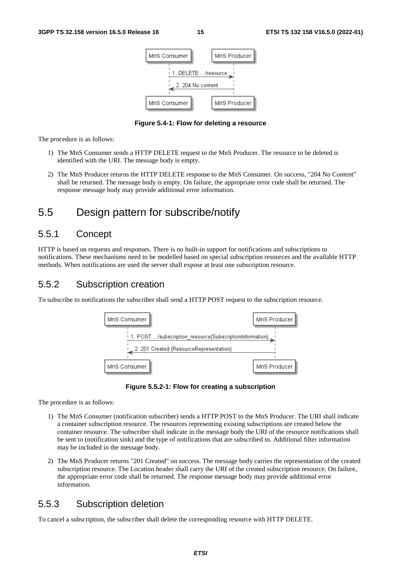

**Figure 5.4-1: Flow for deleting a resource** 

- 1) The MnS Consumer sends a HTTP DELETE request to the MnS Producer. The resource to be deleted is identified with the URI. The message body is empty.
- 2) The MnS Producer returns the HTTP DELETE response to the MnS Consumer. On success, "204 No Content" shall be returned. The message body is empty. On failure, the appropriate error code shall be returned. The response message body may provide additional error information.

# 5.5 Design pattern for subscribe/notify

#### 5.5.1 Concept

HTTP is based on requests and responses. There is no built-in support for notifications and subscriptions to notifications. These mechanisms need to be modelled based on special subscription resources and the available HTTP methods. When notifications are used the server shall expose at least one subscription resource.

#### 5.5.2 Subscription creation

To subscribe to notifications the subscriber shall send a HTTP POST request to the subscription resource.





The procedure is as follows:

- 1) The MnS Consumer (notification subscriber) sends a HTTP POST to the MnS Producer. The URI shall indicate a container subscription resource. The resources representing existing subscriptions are created below the container resource. The subscriber shall indicate in the message body the URI of the resource notifications shall be sent to (notification sink) and the type of notifications that are subscribed to. Additional filter information may be included in the message body.
- 2) The MnS Producer returns "201 Created" on success. The message body carries the representation of the created subscription resource. The Location header shall carry the URI of the created subscription resource. On failure, the appropriate error code shall be returned. The response message body may provide additional error information.

### 5.5.3 Subscription deletion

To cancel a subscription, the subscriber shall delete the corresponding resource with HTTP DELETE.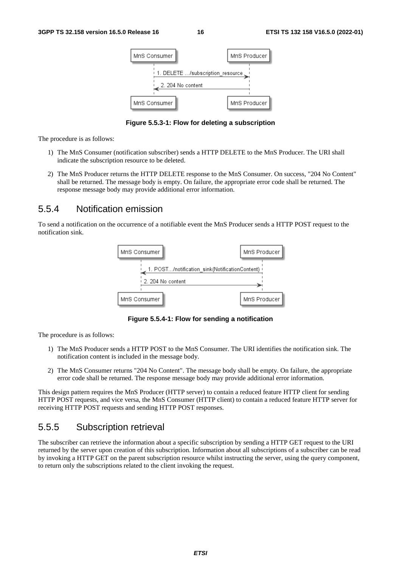

**Figure 5.5.3-1: Flow for deleting a subscription** 

- 1) The MnS Consumer (notification subscriber) sends a HTTP DELETE to the MnS Producer. The URI shall indicate the subscription resource to be deleted.
- 2) The MnS Producer returns the HTTP DELETE response to the MnS Consumer. On success, "204 No Content" shall be returned. The message body is empty. On failure, the appropriate error code shall be returned. The response message body may provide additional error information.

#### 5.5.4 Notification emission

To send a notification on the occurrence of a notifiable event the MnS Producer sends a HTTP POST request to the notification sink.



**Figure 5.5.4-1: Flow for sending a notification** 

The procedure is as follows:

- 1) The MnS Producer sends a HTTP POST to the MnS Consumer. The URI identifies the notification sink. The notification content is included in the message body.
- 2) The MnS Consumer returns "204 No Content". The message body shall be empty. On failure, the appropriate error code shall be returned. The response message body may provide additional error information.

This design pattern requires the MnS Producer (HTTP server) to contain a reduced feature HTTP client for sending HTTP POST requests, and vice versa, the MnS Consumer (HTTP client) to contain a reduced feature HTTP server for receiving HTTP POST requests and sending HTTP POST responses.

#### 5.5.5 Subscription retrieval

The subscriber can retrieve the information about a specific subscription by sending a HTTP GET request to the URI returned by the server upon creation of this subscription. Information about all subscriptions of a subscriber can be read by invoking a HTTP GET on the parent subscription resource whilst instructing the server, using the query component, to return only the subscriptions related to the client invoking the request.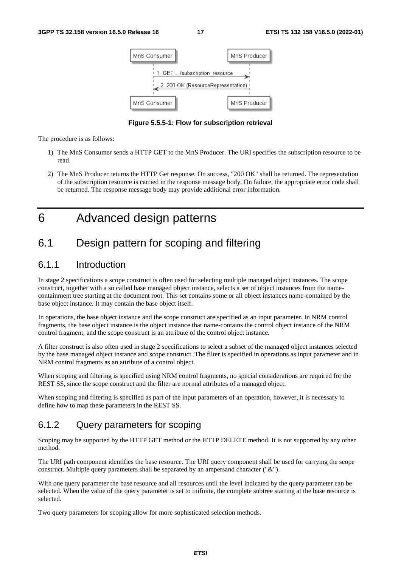

**Figure 5.5.5-1: Flow for subscription retrieval** 

- 1) The MnS Consumer sends a HTTP GET to the MnS Producer. The URI specifies the subscription resource to be read.
- 2) The MnS Producer returns the HTTP Get response. On success, "200 OK" shall be returned. The representation of the subscription resource is carried in the response message body. On failure, the appropriate error code shall be returned. The response message body may provide additional error information.

6 Advanced design patterns

# 6.1 Design pattern for scoping and filtering

#### 6.1.1 Introduction

In stage 2 specifications a scope construct is often used for selecting multiple managed object instances. The scope construct, together with a so called base managed object instance, selects a set of object instances from the namecontainment tree starting at the document root. This set contains some or all object instances name-contained by the base object instance. It may contain the base object itself.

In operations, the base object instance and the scope construct are specified as an input parameter. In NRM control fragments, the base object instance is the object instance that name-contains the control object instance of the NRM control fragment, and the scope construct is an attribute of the control object instance.

A filter construct is also often used in stage 2 specifications to select a subset of the managed object instances selected by the base managed object instance and scope construct. The filter is specified in operations as input parameter and in NRM control fragments as an attribute of a control object.

When scoping and filtering is specified using NRM control fragments, no special considerations are required for the REST SS, since the scope construct and the filter are normal attributes of a managed object.

When scoping and filtering is specified as part of the input parameters of an operation, however, it is necessary to define how to map these parameters in the REST SS.

#### 6.1.2 Query parameters for scoping

Scoping may be supported by the HTTP GET method or the HTTP DELETE method. It is not supported by any other method.

The URI path component identifies the base resource. The URI query component shall be used for carrying the scope construct. Multiple query parameters shall be separated by an ampersand character ("&").

With one query parameter the base resource and all resources until the level indicated by the query parameter can be selected. When the value of the query parameter is set to inifinite, the complete subtree starting at the base resource is selected.

Two query parameters for scoping allow for more sophisticated selection methods.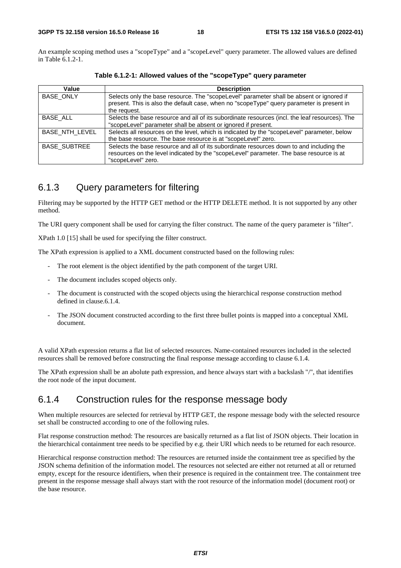An example scoping method uses a "scopeType" and a "scopeLevel" query parameter. The allowed values are defined in Table 6.1.2-1.

| Value                 | <b>Description</b>                                                                             |
|-----------------------|------------------------------------------------------------------------------------------------|
| <b>BASE ONLY</b>      | Selects only the base resource. The "scopeLevel" parameter shall be absent or ignored if       |
|                       | present. This is also the default case, when no "scopeType" query parameter is present in      |
|                       | the request.                                                                                   |
| BASE ALL              | Selects the base resource and all of its subordinate resources (incl. the leaf resources). The |
|                       | "scopeLevel" parameter shall be absent or ignored if present.                                  |
| <b>BASE NTH LEVEL</b> | Selects all resources on the level, which is indicated by the "scopeLevel" parameter, below    |
|                       | the base resource. The base resource is at "scopeLevel" zero.                                  |
| <b>BASE_SUBTREE</b>   | Selects the base resource and all of its subordinate resources down to and including the       |
|                       | resources on the level indicated by the "scopeLevel" parameter. The base resource is at        |
|                       | "scopeLevel" zero.                                                                             |

**Table 6.1.2-1: Allowed values of the "scopeType" query parameter** 

#### 6.1.3 Query parameters for filtering

Filtering may be supported by the HTTP GET method or the HTTP DELETE method. It is not supported by any other method.

The URI query component shall be used for carrying the filter construct. The name of the query parameter is "filter".

XPath 1.0 [15] shall be used for specifying the filter construct.

The XPath expression is applied to a XML document constructed based on the following rules:

- The root element is the object identified by the path component of the target URI.
- The document includes scoped objects only.
- The document is constructed with the scoped objects using the hierarchical response construction method defined in clause.6.1.4.
- The JSON document constructed according to the first three bullet points is mapped into a conceptual XML document.

A valid XPath expression returns a flat list of selected resources. Name-contained resources included in the selected resources shall be removed before constructing the final response message according to clause 6.1.4.

The XPath expression shall be an abolute path expression, and hence always start with a backslash "/", that identifies the root node of the input document.

#### 6.1.4 Construction rules for the response message body

When multiple resources are selected for retrieval by HTTP GET, the respone message body with the selected resource set shall be constructed according to one of the following rules.

Flat response construction method: The resources are basically returned as a flat list of JSON objects. Their location in the hierarchical containment tree needs to be specified by e.g. their URI which needs to be returned for each resource.

Hierarchical response construction method: The resources are returned inside the containment tree as specified by the JSON schema definition of the information model. The resources not selected are either not returned at all or returned empty, except for the resource identifiers, when their presence is required in the containment tree. The containment tree present in the response message shall always start with the root resource of the information model (document root) or the base resource.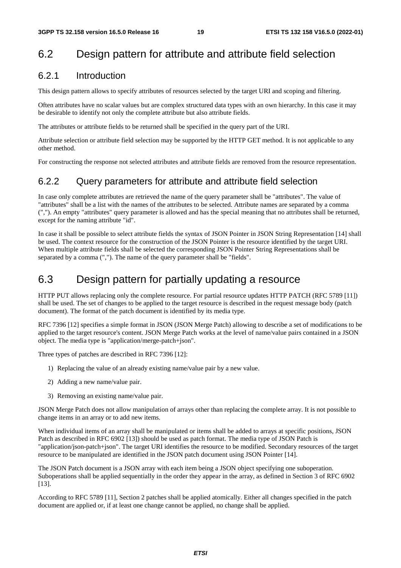# 6.2 Design pattern for attribute and attribute field selection

#### 6.2.1 Introduction

This design pattern allows to specify attributes of resources selected by the target URI and scoping and filtering.

Often attributes have no scalar values but are complex structured data types with an own hierarchy. In this case it may be desirable to identify not only the complete attribute but also attribute fields.

The attributes or attribute fields to be returned shall be specified in the query part of the URI.

Attribute selection or attribute field selection may be supported by the HTTP GET method. It is not applicable to any other method.

For constructing the response not selected attributes and attribute fields are removed from the resource representation.

#### 6.2.2 Query parameters for attribute and attribute field selection

In case only complete attributes are retrieved the name of the query parameter shall be "attributes". The value of "attributes" shall be a list with the names of the attributes to be selected. Attribute names are separated by a comma (","). An empty "attributes" query parameter is allowed and has the special meaning that no attributes shall be returned, except for the naming attribute "id".

In case it shall be possible to select attribute fields the syntax of JSON Pointer in JSON String Representation [14] shall be used. The context resource for the construction of the JSON Pointer is the resource identified by the target URI. When multiple attribute fields shall be selected the corresponding JSON Pointer String Representations shall be separated by a comma (","). The name of the query parameter shall be "fields".

### 6.3 Design pattern for partially updating a resource

HTTP PUT allows replacing only the complete resource. For partial resource updates HTTP PATCH (RFC 5789 [11]) shall be used. The set of changes to be applied to the target resource is described in the request message body (patch document). The format of the patch document is identified by its media type.

RFC 7396 [12] specifies a simple format in JSON (JSON Merge Patch) allowing to describe a set of modifications to be applied to the target resource's content. JSON Merge Patch works at the level of name/value pairs contained in a JSON object. The media type is "application/merge-patch+json".

Three types of patches are described in RFC 7396 [12]:

- 1) Replacing the value of an already existing name/value pair by a new value.
- 2) Adding a new name/value pair.
- 3) Removing an existing name/value pair.

JSON Merge Patch does not allow manipulation of arrays other than replacing the complete array. It is not possible to change items in an array or to add new items.

When individual items of an array shall be manipulated or items shall be added to arrays at specific positions, JSON Patch as described in RFC 6902 [13]) should be used as patch format. The media type of JSON Patch is "application/json-patch+json". The target URI identifies the resource to be modified. Secondary resources of the target resource to be manipulated are identified in the JSON patch document using JSON Pointer [14].

The JSON Patch document is a JSON array with each item being a JSON object specifying one suboperation. Suboperations shall be applied sequentially in the order they appear in the array, as defined in Section 3 of RFC 6902 [13].

According to RFC 5789 [11], Section 2 patches shall be applied atomically. Either all changes specified in the patch document are applied or, if at least one change cannot be applied, no change shall be applied.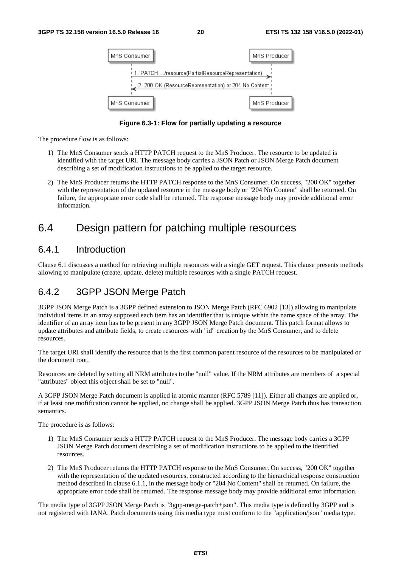| MnS Consumer                                                             | MnS Producer |
|--------------------------------------------------------------------------|--------------|
| ↑ 1. PATCH …/resource(PartialResourceRepresentation) →                   |              |
| , 2. 200 OK (ResourceRepresentation) or 204 No Content (<br>MnS Consumer | MnS Producer |

**Figure 6.3-1: Flow for partially updating a resource** 

- 1) The MnS Consumer sends a HTTP PATCH request to the MnS Producer. The resource to be updated is identified with the target URI. The message body carries a JSON Patch or JSON Merge Patch document describing a set of modification instructions to be applied to the target resource.
- 2) The MnS Producer returns the HTTP PATCH response to the MnS Consumer. On success, "200 OK" together with the representation of the updated resource in the message body or "204 No Content" shall be returned. On failure, the appropriate error code shall be returned. The response message body may provide additional error information.

# 6.4 Design pattern for patching multiple resources

#### 6.4.1 Introduction

Clause 6.1 discusses a method for retrieving multiple resources with a single GET request. This clause presents methods allowing to manipulate (create, update, delete) multiple resources with a single PATCH request.

### 6.4.2 3GPP JSON Merge Patch

3GPP JSON Merge Patch is a 3GPP defined extension to JSON Merge Patch (RFC 6902 [13]) allowing to manipulate individual items in an array supposed each item has an identifier that is unique within the name space of the array. The identifier of an array item has to be present in any 3GPP JSON Merge Patch document. This patch format allows to update attributes and attribute fields, to create resources with "id" creation by the MnS Consumer, and to delete resources.

The target URI shall identify the resource that is the first common parent resource of the resources to be manipulated or the document root.

Resources are deleted by setting all NRM attributes to the "null" value. If the NRM attributes are members of a special "attributes" object this object shall be set to "null".

A 3GPP JSON Merge Patch document is applied in atomic manner (RFC 5789 [11]). Either all changes are applied or, if at least one mofification cannot be applied, no change shall be applied. 3GPP JSON Merge Patch thus has transaction semantics.

The procedure is as follows:

- 1) The MnS Consumer sends a HTTP PATCH request to the MnS Producer. The message body carries a 3GPP JSON Merge Patch document describing a set of modification instructions to be applied to the identified resources.
- 2) The MnS Producer returns the HTTP PATCH response to the MnS Consumer. On success, "200 OK" together with the representation of the updated resources, constructed according to the hierarchical response construction method described in clause 6.1.1, in the message body or "204 No Content" shall be returned. On failure, the appropriate error code shall be returned. The response message body may provide additional error information.

The media type of 3GPP JSON Merge Patch is "3gpp-merge-patch+json". This media type is defined by 3GPP and is not registered with IANA. Patch documents using this media type must conform to the "application/json" media type.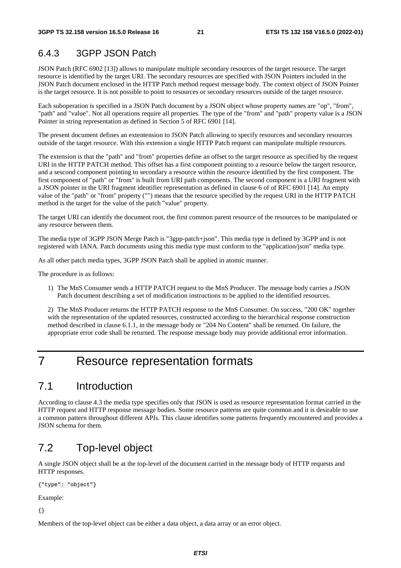#### 6.4.3 3GPP JSON Patch

JSON Patch (RFC 6902 [13]) allows to manipulate multiple secondary resources of the target resource. The target resource is identified by the target URI. The secondary resources are specified with JSON Pointers included in the JSON Patch document enclosed in the HTTP Patch method request message body. The context object of JSON Pointer is the target resource. It is not possible to point to resources or secondary resources outside of the target resource.

Each suboperation is specified in a JSON Patch document by a JSON object whose property names are "op", "from", "path" and "value". Not all operations require all properties. The type of the "from" and "path" property value is a JSON Pointer in string representation as defined in Section 5 of RFC 6901 [14].

The present document defines an extentension to JSON Patch allowing to specify resources and secondary resources outside of the target resource. With this extension a single HTTP Patch request can manipulate multiple resources.

The extension is that the "path" and "from" properties define an offset to the target resource as specified by the request URI in the HTTP PATCH method. This offset has a first component pointing to a resource below the targert resource, and a sescond component pointing to secondary a resource within the resource identified by the first component. The first component of "path" or "from" is built from URI path components. The second component is a URI fragment with a JSON pointer in the URI fragment identifier representation as defined in clause 6 of of RFC 6901 [14]. An empty value of the "path" or "from" property ("") means that the resource specified by the request URI in the HTTP PATCH method is the target for the value of the patch "value" property.

The target URI can identify the document root, the first common parent resource of the resources to be manipulated or any resource between them.

The media type of 3GPP JSON Merge Patch is "3gpp-patch+json". This media type is defined by 3GPP and is not registered with IANA. Patch documents using this media type must conform to the "application/json" media type.

As all other patch media types, 3GPP JSON Patch shall be applied in atomic manner.

The procedure is as follows:

1) The MnS Consumer sends a HTTP PATCH request to the MnS Producer. The message body carries a JSON Patch document describing a set of modification instructions to be applied to the identified resources.

2) The MnS Producer returns the HTTP PATCH response to the MnS Consumer. On success, "200 OK" together with the representation of the updated resources, constructed according to the hierarchical response construction method described in clause 6.1.1, in the message body or "204 No Content" shall be returned. On failure, the appropriate error code shall be returned. The response message body may provide additional error information.

# 7 Resource representation formats

### 7.1 Introduction

According to clause 4.3 the media type specifies only that JSON is used as resource representation format carried in the HTTP request and HTTP response message bodies. Some resource patterns are quite common and it is desirable to use a common pattern throughout different APIs. This clause identifies some patterns frequently encountered and provides a JSON schema for them.

### 7.2 Top-level object

A single JSON object shall be at the top-level of the document carried in the message body of HTTP requests and HTTP responses.

{"type": "object"}

Example:

{}

Members of the top-level object can be either a data object, a data array or an error object.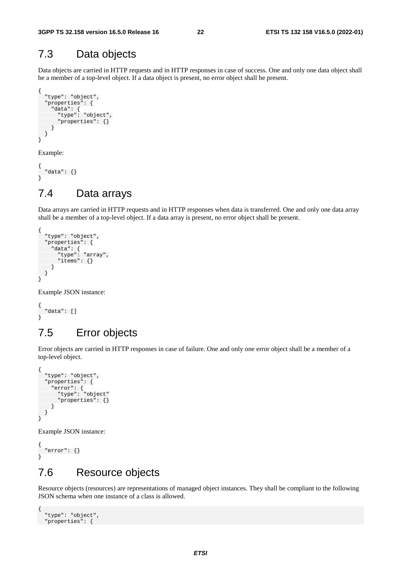### 7.3 Data objects

Data objects are carried in HTTP requests and in HTTP responses in case of success. One and only one data object shall be a member of a top-level object. If a data object is present, no error object shall be present.

```
{ 
   "type": "object", 
   "properties": { 
      "data": { 
        "type": "object", 
        "properties": {} 
     } 
  } 
}
```
Example:

```
{ 
   "data": {} 
}
```
# 7.4 Data arrays

Data arrays are carried in HTTP requests and in HTTP responses when data is transferred. One and only one data array shall be a member of a top-level object. If a data array is present, no error object shall be present.

```
{ 
   "type": "object", 
   "properties": { 
 "data": { 
 "type": "array", 
        "items": {} 
     } 
   } 
}
```
Example JSON instance:

{ "data": [] }

### 7.5 Error objects

Error objects are carried in HTTP responses in case of failure. One and only one error object shall be a member of a top-level object.

```
{ 
   "type": "object", 
   "properties": { 
 "error": { 
 "type": "object" 
        "properties": {} 
     } 
   } 
}
```
Example JSON instance:

```
{ 
    "error": {} 
}
```
# 7.6 Resource objects

Resource objects (resources) are representations of managed object instances. They shall be compliant to the following JSON schema when one instance of a class is allowed.

```
{ 
   "type": "object", 
   "properties": {
```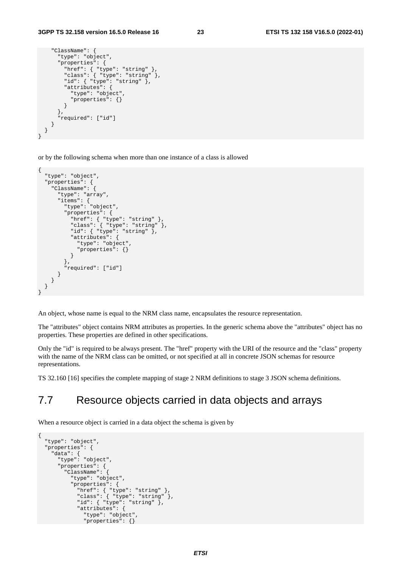```
 "ClassName": { 
       "type": "object", 
        "properties": { 
 "href": { "type": "string" }, 
 "class": { "type": "string" }, 
        "id": \{\n\text{ "type":} \times \text{string" } \}, "attributes": { 
           "type": "object", 
           "properties": {} 
         } 
       }, 
        "required": ["id"] 
     } 
  }
```
}

or by the following schema when more than one instance of a class is allowed

```
{ 
   "type": "object", 
   "properties": { 
     "ClassName": { 
       "type": "array", 
 "items": { 
 "type": "object", 
          "properties": { 
            "href": { "type": "string" }, 
            "class": { "type": "string" }, 
            "id": { "type": "string" }, 
            "attributes": { 
              "type": "object", 
              "properties": {} 
           } 
         }, 
          "required": ["id"] 
       } 
     } 
   } 
}
```
An object, whose name is equal to the NRM class name, encapsulates the resource representation.

The "attributes" object contains NRM attributes as properties. In the generic schema above the "attributes" object has no properties. These properties are defined in other specifications.

Only the "id" is required to be always present. The "href" property with the URI of the resource and the "class" property with the name of the NRM class can be omitted, or not specified at all in concrete JSON schemas for resource representations.

TS 32.160 [16] specifies the complete mapping of stage 2 NRM definitions to stage 3 JSON schema definitions.

# 7.7 Resource objects carried in data objects and arrays

When a resource object is carried in a data object the schema is given by

```
{ 
   "type": "object", 
   "properties": { 
     "data": { 
       "type": "object", 
       "properties": { 
          "ClassName": { 
           "type": "object", 
            "properties": { 
              "href": { "type": "string" }, 
              "class": { "type": "string" }, 
              "id": { "type": "string" }, 
              "attributes": { 
                "type": "object", 
                "properties": {}
```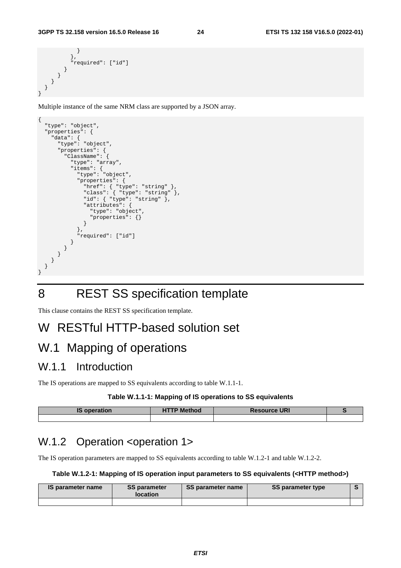```
 } 
            }, 
            "required": ["id"] 
         } 
       } 
    } 
  }
```
}

Multiple instance of the same NRM class are supported by a JSON array.

```
{ 
    "type": "object", 
    "properties": { 
      "data": { 
         "type": "object", 
         "properties": { 
            "ClassName": { 
               "type": "array", 
               "items": { 
                 "type": "object", 
                  "properties": { 
                    "href": { "type": "string" }, 
                    "class": { "type": "string" }, 
                   "id": \{\n \begin{array}{c}\n \sqrt{2} \\
 \sqrt{2} \\
 \sqrt{2}\n \end{array}": "string" \left.\right\},
                    "attributes": { 
                       "type": "object", 
                       "properties": {} 
 } 
                 }, 
                  "required": ["id"] 
              } 
           } 
        } 
      } 
   } 
}
```
# 8 REST SS specification template

This clause contains the REST SS specification template.

# W RESTful HTTP-based solution set

# W.1 Mapping of operations

### W.1.1 Introduction

The IS operations are mapped to SS equivalents according to table W.1.1-1.

#### **Table W.1.1-1: Mapping of IS operations to SS equivalents**

| <b>IS operation</b> | <b>Nethod</b> | <b>Resource URI</b> |  |
|---------------------|---------------|---------------------|--|
|                     |               |                     |  |

# W.1.2 Operation <operation 1>

The IS operation parameters are mapped to SS equivalents according to table W.1.2-1 and table W.1.2-2.

#### **Table W.1.2-1: Mapping of IS operation input parameters to SS equivalents (<HTTP method>)**

| IS parameter name | <b>SS parameter</b><br><b>location</b> | SS parameter name | <b>SS parameter type</b> |  |
|-------------------|----------------------------------------|-------------------|--------------------------|--|
|                   |                                        |                   |                          |  |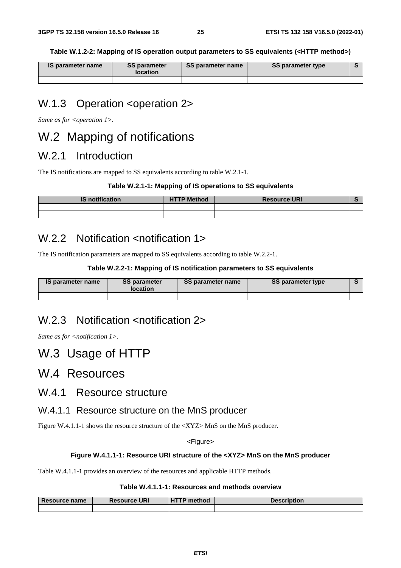**Table W.1.2-2: Mapping of IS operation output parameters to SS equivalents (<HTTP method>)** 

| <b>IS parameter name</b> | <b>SS parameter</b><br><b>location</b> | SS parameter name | <b>SS parameter type</b> |  |
|--------------------------|----------------------------------------|-------------------|--------------------------|--|
|                          |                                        |                   |                          |  |

# W.1.3 Operation <operation 2>

Same as for <operation 1>.

# W.2 Mapping of notifications

### W.2.1 Introduction

The IS notifications are mapped to SS equivalents according to table W.2.1-1.

#### **Table W.2.1-1: Mapping of IS operations to SS equivalents**

| <b>IS notification</b> | <b>HTTP Method</b> | <b>Resource URI</b> |  |
|------------------------|--------------------|---------------------|--|
|                        |                    |                     |  |
|                        |                    |                     |  |

### W.2.2 Notification <notification 1>

The IS notification parameters are mapped to SS equivalents according to table W.2.2-1.

#### **Table W.2.2-1: Mapping of IS notification parameters to SS equivalents**

| <b>IS parameter name</b> | <b>SS parameter</b><br><b>location</b> | SS parameter name | <b>SS parameter type</b> |  |
|--------------------------|----------------------------------------|-------------------|--------------------------|--|
|                          |                                        |                   |                          |  |

### W.2.3 Notification <notification 2>

*Same as for <notification 1>.* 

# W.3 Usage of HTTP

### W.4 Resources

### W.4.1 Resource structure

#### W.4.1.1 Resource structure on the MnS producer

Figure W.4.1.1-1 shows the resource structure of the <XYZ> MnS on the MnS producer.

#### <Figure>

#### **Figure W.4.1.1-1: Resource URI structure of the <XYZ> MnS on the MnS producer**

Table W.4.1.1-1 provides an overview of the resources and applicable HTTP methods.

#### **Table W.4.1.1-1: Resources and methods overview**

| <b>Resource name</b> | <b>Resource URI</b> | <b>HTTP method</b> | <b>Description</b> |
|----------------------|---------------------|--------------------|--------------------|
|                      |                     |                    |                    |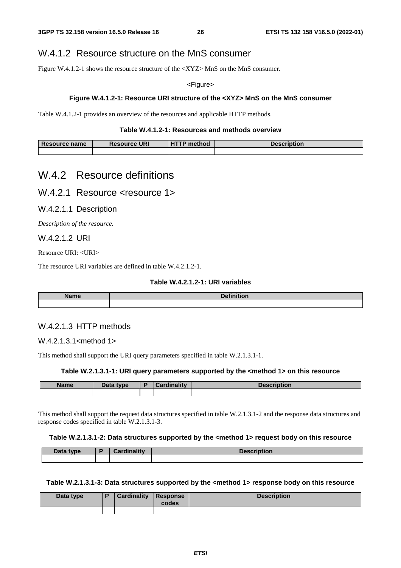#### W.4.1.2 Resource structure on the MnS consumer

Figure W.4.1.2-1 shows the resource structure of the  $\langle XYZ \rangle$  MnS on the MnS consumer.

<Figure>

#### **Figure W.4.1.2-1: Resource URI structure of the <XYZ> MnS on the MnS consumer**

Table W.4.1.2-1 provides an overview of the resources and applicable HTTP methods.

#### **Table W.4.1.2-1: Resources and methods overview**

| <b>Resource name</b> | <b>Resource URI</b> | <b>UTTD</b><br>method | <b>Description</b> |
|----------------------|---------------------|-----------------------|--------------------|
|                      |                     |                       |                    |

### W.4.2 Resource definitions

W.4.2.1 Resource <resource 1>

W.4.2.1.1 Description

*Description of the resource.* 

#### W.4.2.1.2 URI

Resource URI: <URI>

The resource URI variables are defined in table W.4.2.1.2-1.

#### **Table W.4.2.1.2-1: URI variables**

| . .<br>. | - |
|----------|---|
|          |   |

#### W.4.2.1.3 HTTP methods

W.4.2.1.3.1<method 1>

This method shall support the URI query parameters specified in table W.2.1.3.1-1.

#### **Table W.2.1.3.1-1: URI query parameters supported by the <method 1> on this resource**

| <b>Name</b> | Data type | `ordinolity<br>11 I L V |  | <b>Description</b> |  |
|-------------|-----------|-------------------------|--|--------------------|--|
|             |           |                         |  |                    |  |

This method shall support the request data structures specified in table W.2.1.3.1-2 and the response data structures and response codes specified in table W.2.1.3.1-3.

#### **Table W.2.1.3.1-2: Data structures supported by the <method 1> request body on this resource**

| Data type | <b>Cardinality</b> | <b>Description</b> |
|-----------|--------------------|--------------------|
|           |                    |                    |

#### Table W.2.1.3.1-3: Data structures supported by the <method 1> response body on this resource

| Data type | <b>Cardinality Response</b> | codes | <b>Description</b> |
|-----------|-----------------------------|-------|--------------------|
|           |                             |       |                    |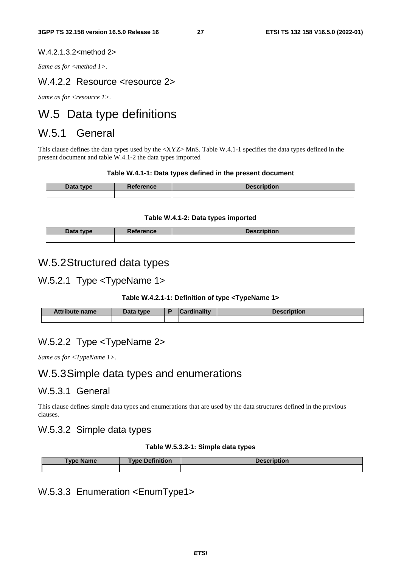#### W.4.2.1.3.2<method 2>

Same as for <method 1>.

#### W.4.2.2 Resource <resource 2>

*Same as for <resource 1>.* 

# W.5 Data type definitions

### W.5.1 General

This clause defines the data types used by the <XYZ> MnS. Table W.4.1-1 specifies the data types defined in the present document and table W.4.1-2 the data types imported

#### **Table W.4.1-1: Data types defined in the present document**

| Data type | <b>Reference</b> | <b>Description</b> |  |  |  |
|-----------|------------------|--------------------|--|--|--|
|           |                  |                    |  |  |  |

#### **Table W.4.1-2: Data types imported**

| Data type | <b>Reference</b> | <b>Description</b> |
|-----------|------------------|--------------------|
|           |                  |                    |

### W.5.2 Structured data types

#### W.5.2.1 Type <TypeName 1>

#### **Table W.4.2.1-1: Definition of type <TypeName 1>**

| <b>Attribute name</b> | Data type | $\mathcal{L}$ ardinality | Description |
|-----------------------|-----------|--------------------------|-------------|
|                       |           |                          |             |

#### W.5.2.2 Type <TypeName 2>

*Same as for <TypeName 1>.*

### W.5.3 Simple data types and enumerations

#### W.5.3.1 General

This clause defines simple data types and enumerations that are used by the data structures defined in the previous clauses.

#### W.5.3.2 Simple data types

#### **Table W.5.3.2-1: Simple data types**

| vpe<br>⊪Name | <b>Definition</b><br><b>Type</b> | <b>Description</b> |
|--------------|----------------------------------|--------------------|
|              |                                  |                    |

### W.5.3.3 Enumeration <EnumType1>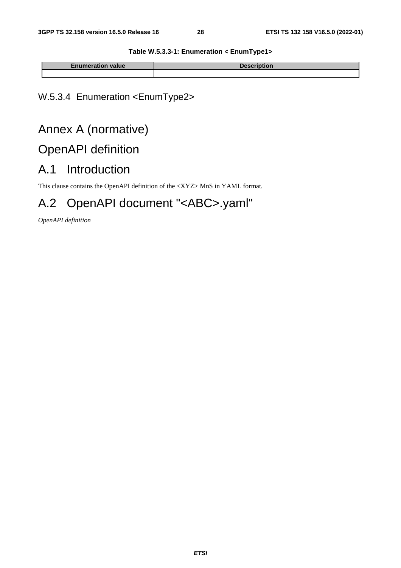#### **Table W.5.3.3-1: Enumeration < EnumType1>**

| <b>Enumeration value</b> | uon |
|--------------------------|-----|
|                          |     |

# W.5.3.4 Enumeration <EnumType2>

# Annex A (normative)

# OpenAPI definition

# A.1 Introduction

This clause contains the OpenAPI definition of the <XYZ> MnS in YAML format.

# A.2 OpenAPI document "<ABC>.yaml"

*OpenAPI definition*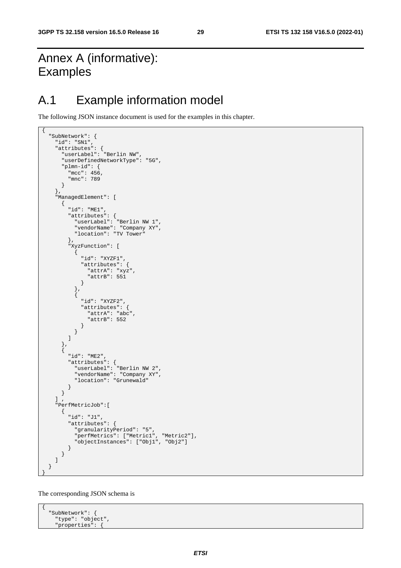# Annex A (informative): Examples

{

# A.1 Example information model

The following JSON instance document is used for the examples in this chapter.

```
 "SubNetwork": { 
    "id": "SN1", 
 "attributes": { 
 "userLabel": "Berlin NW", 
      "userDefinedNetworkType": "5G", 
       "plmn-id": { 
         "mcc": 456, 
         "mnc": 789 
      } 
    }, 
     "ManagedElement": [ 
      { 
         "id": "ME1", 
         "attributes": { 
           "userLabel": "Berlin NW 1", 
 "vendorName": "Company XY", 
 "location": "TV Tower" 
         }, 
         "XyzFunction": [ 
           { 
             "id": "XYZF1", 
             "attributes": { 
               "attrA": "xyz", 
               "attrB": 551 
             } 
           }, 
          \zeta "id": "XYZF2", 
             "attributes": { 
               "attrA": "abc", 
               "attrB": 552 
 } 
          } 
        ] 
       }, 
       { 
         "id": "ME2", 
         "attributes": { 
 "userLabel": "Berlin NW 2", 
 "vendorName": "Company XY", 
          "location": "Grunewald" 
        } 
      } 
   \frac{1}{2} "PerfMetricJob":[ 
       { 
         "id": "J1", 
         "attributes": { 
 "granularityPeriod": "5", 
 "perfMetrics": ["Metric1", "Metric2"], 
 "objectInstances": ["Obj1", "Obj2"] 
        } 
       } 
    ] 
  } 
}
```
The corresponding JSON schema is

{ "SubNetwork": { "type": "object", "properties": {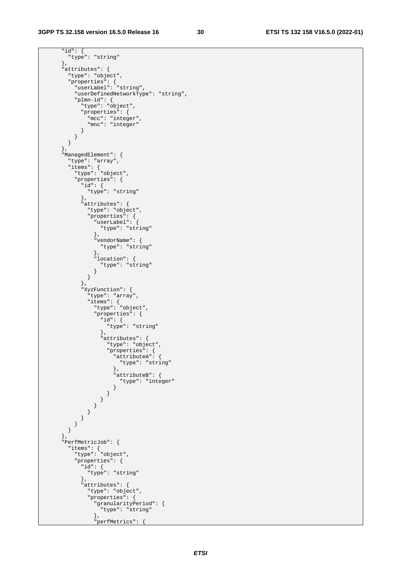"id": { "type": "string" }, "attributes": { "type": "object", "properties": { "userLabel": "string", "userDefinedNetworkType": "string", "plmn-id": { "type": "object", "properties": { "mcc": "integer", "mnc": "integer" } } } }, "ManagedElement": { "type": "array", "items": { "type": "object", "properties": { "id": { "type": "string" }, "attributes": { "type": "object", "properties": { "userLabel": { "type": "string" }, "vendorName": { "type": "string" }, "location": { "type": "string" } } }, "XyzFunction": { "type": "array", "items": { "type": "object", "properties": { "id": { "type": "string" }, "attributes": { "type": "object", "properties": { "attributeA": { "type": "string" }, "attributeB": { "type": "integer" } } } } } } } } }, "PerfMetricJob": { "items": { "type": "object", "properties": { "id": { "type": "string" }, "attributes": { "type": "object", "properties": { "granularityPeriod": { "type": "string" },

"perfMetrics": {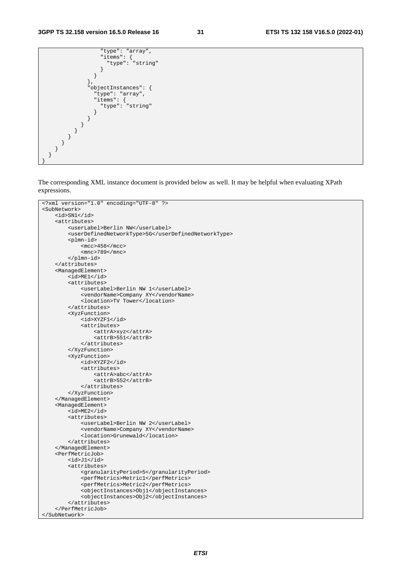```
 "type": "array", 
 "items": { 
 "type": "string" 
 } 
 } 
         }, 
          "objectInstances": { 
           "type": "array", 
           "items": { 
          "type": "string" 
 } 
 } 
 } 
 } 
 } 
 } 
  } 
 } 
}
```
The corresponding XML instance document is provided below as well. It may be helpful when evaluating XPath expressions.

```
<?xml version="1.0" encoding="UTF-8" ?> 
<SubNetwork> 
     <id>SN1</id> 
     <attributes> 
         <userLabel>Berlin NW</userLabel> 
         <userDefinedNetworkType>5G</userDefinedNetworkType> 
         <plmn-id> 
             <mcc>456</mcc>
              <mnc>789</mnc> 
         </plmn-id> 
     </attributes> 
     <ManagedElement> 
         <id>ME1</id> 
         <attributes> 
              <userLabel>Berlin NW 1</userLabel> 
              <vendorName>Company XY</vendorName> 
              <location>TV Tower</location> 
         </attributes> 
         <XyzFunction> 
              <id>XYZF1</id> 
              <attributes> 
                  <attrA>xyz</attrA> 
                  <attrB>551</attrB> 
              </attributes> 
         </XyzFunction> 
         <XyzFunction> 
              <id>XYZF2</id> 
              <attributes> 
                  <attrA>abc</attrA> 
                  <attrB>552</attrB> 
              </attributes> 
         </XyzFunction> 
     </ManagedElement> 
     <ManagedElement> 

         <attributes> 
              <userLabel>Berlin NW 2</userLabel> 
             <vendorName>Company XY</vendorName>
              <location>Grunewald</location> 
         </attributes> 
     </ManagedElement> 
     <PerfMetricJob> 
        <id>J1</id>
         <attributes> 
              <granularityPeriod>5</granularityPeriod> 
              <perfMetrics>Metric1</perfMetrics> 
              <perfMetrics>Metric2</perfMetrics> 
              <objectInstances>Obj1</objectInstances> 
              <objectInstances>Obj2</objectInstances> 
         </attributes> 
     </PerfMetricJob> 
</SubNetwork>
```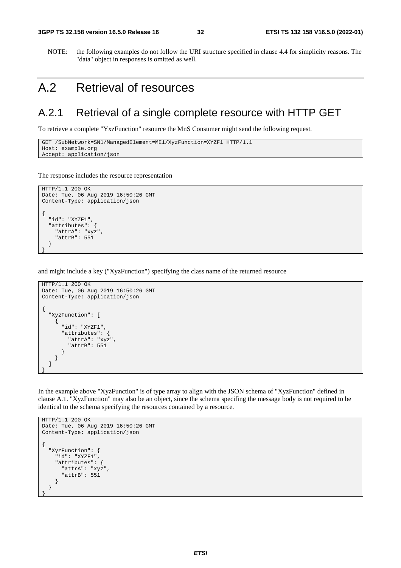NOTE: the following examples do not follow the URI structure specified in clause 4.4 for simplicity reasons. The "data" object in responses is omitted as well.

# A.2 Retrieval of resources

### A.2.1 Retrieval of a single complete resource with HTTP GET

To retrieve a complete "YxzFunction" resource the MnS Consumer might send the following request.

```
GET /SubNetwork=SN1/ManagedElement=ME1/XyzFunction=XYZF1 HTTP/1.1 
 Host: example.org 
Accept: application/json
```
The response includes the resource representation

```
HTTP/1.1 200 OK 
Date: Tue, 06 Aug 2019 16:50:26 GMT 
Content-Type: application/json 
{ 
   "id": "XYZF1", 
   "attributes": { 
     "attrA": "xyz", 
     "attrB": 551 
   } 
}
```
and might include a key ("XyzFunction") specifying the class name of the returned resource

```
HTTP/1.1 200 OK 
Date: Tue, 06 Aug 2019 16:50:26 GMT 
Content-Type: application/json 
{ 
   "XyzFunction": [ 
     { 
        "id": "XYZF1", 
        "attributes": { 
          "attrA": "xyz", 
          "attrB": 551 
        } 
     } 
   ] 
}
```
In the example above "XyzFunction" is of type array to align with the JSON schema of "XyzFunction" defined in clause A.1. "XyzFunction" may also be an object, since the schema specifing the message body is not required to be identical to the schema specifying the resources contained by a resource.

```
HTTP/1.1 200 OK 
Date: Tue, 06 Aug 2019 16:50:26 GMT 
Content-Type: application/json 
{ 
   "XyzFunction": { 
    -<br>"id": "XYZF1",
     "attributes": { 
       "attrA": "xyz", 
        "attrB": 551 
     } 
   } 
}
```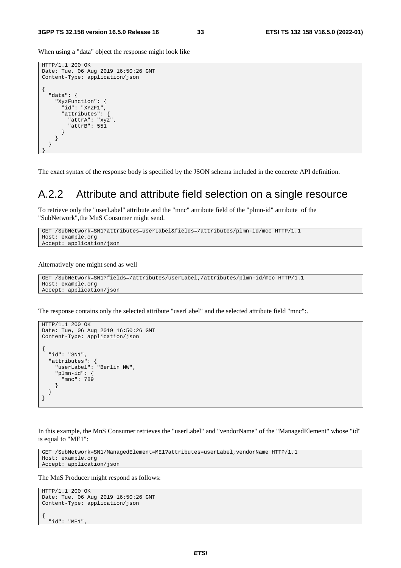When using a "data" object the response might look like

```
HTTP/1.1 200 OK 
Date: Tue, 06 Aug 2019 16:50:26 GMT 
Content-Type: application/json 
\{ "data": { 
     "XyzFunction": { 
        "id": "XYZF1", 
        "attributes": { 
         "attrA": "xyz", 
         "attrB": 551 
       } 
     } 
   } 
}
```
The exact syntax of the response body is specified by the JSON schema included in the concrete API definition.

### A.2.2 Attribute and attribute field selection on a single resource

To retrieve only the "userLabel" attribute and the "mnc" attribute field of the "plmn-id" attribute of the "SubNetwork",the MnS Consumer might send.

```
GET /SubNetwork=SN1?attributes=userLabel&fields=/attributes/plmn-id/mcc HTTP/1.1 
Host: example.org 
Accept: application/json
```
Alternatively one might send as well

```
GET /SubNetwork=SN1?fields=/attributes/userLabel,/attributes/plmn-id/mcc HTTP/1.1 
Host: example.org 
Accept: application/json
```
The response contains only the selected attribute "userLabel" and the selected attribute field "mnc":.

```
HTTP/1.1 200 OK 
Date: Tue, 06 Aug 2019 16:50:26 GMT 
Content-Type: application/json 
{ 
   "id": "SN1", 
 "attributes": { 
 "userLabel": "Berlin NW", 
     "plmn-id": { 
       "mnc": 789 
     } 
  } 
}
```
In this example, the MnS Consumer retrieves the "userLabel" and "vendorName" of the "ManagedElement" whose "id" is equal to "ME1":

```
GET /SubNetwork=SN1/ManagedElement=ME1?attributes=userLabel,vendorName HTTP/1.1 
Host: example.org 
Accept: application/json
```
The MnS Producer might respond as follows:

```
HTTP/1.1 200 OK 
Date: Tue, 06 Aug 2019 16:50:26 GMT 
Content-Type: application/json 
{ 
   "id": "ME1",
```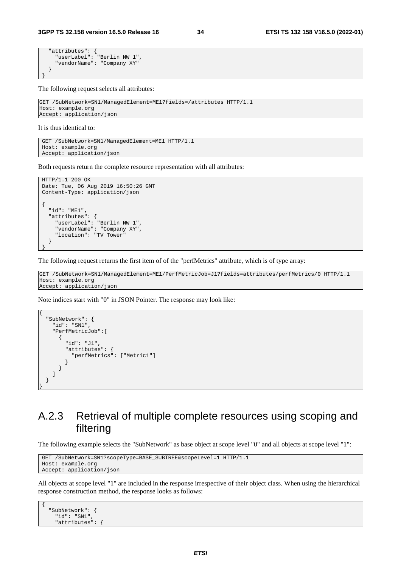```
 "attributes": { 
 "userLabel": "Berlin NW 1", 
 "vendorName": "Company XY" 
  } 
}
```
The following request selects all attributes:

```
GET /SubNetwork=SN1/ManagedElement=ME1?fields=/attributes HTTP/1.1 
Host: example.org 
Accept: application/json
```
It is thus identical to:

{

GET /SubNetwork=SN1/ManagedElement=ME1 HTTP/1.1 Host: example.org Accept: application/json

Both requests return the complete resource representation with all attributes:

```
HTTP/1.1 200 OK 
Date: Tue, 06 Aug 2019 16:50:26 GMT 
Content-Type: application/json 
{ 
   "id": "ME1", 
   "attributes": { 
 "userLabel": "Berlin NW 1", 
 "vendorName": "Company XY", 
     "location": "TV Tower" 
   } 
}
```
The following request returns the first item of of the "perfMetrics" attribute, which is of type array:

GET /SubNetwork=SN1/ManagedElement=ME1/PerfMetricJob=J1?fields=attributes/perfMetrics/0 HTTP/1.1 Host: example.org Accept: application/json

Note indices start with "0" in JSON Pointer. The response may look like:

```
 "SubNetwork": { 
     "id": "SN1", 
     "PerfMetricJob":[ 
        { 
          "id": "J1", 
          "attributes": { 
             "perfMetrics": ["Metric1"] 
          } 
       } 
     ] 
   } 
}
```
### A.2.3 Retrieval of multiple complete resources using scoping and filtering

The following example selects the "SubNetwork" as base object at scope level "0" and all objects at scope level "1":

```
GET /SubNetwork=SN1?scopeType=BASE_SUBTREE&scopeLevel=1 HTTP/1.1 
Host: example.org 
Accept: application/json
```
All objects at scope level "1" are included in the response irrespective of their object class. When using the hierarchical response construction method, the response looks as follows:

```
 "SubNetwork": { 
  "id": "SN1", 
   "attributes": {
```
{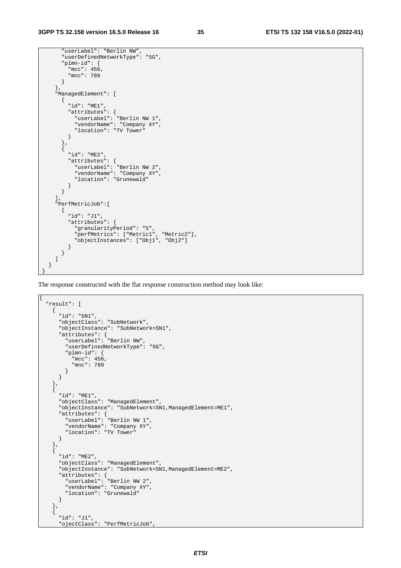```
 "userLabel": "Berlin NW", 
       "userDefinedNetworkType": "5G", 
       "plmn-id": { 
         "mcc": 456, 
         "mnc": 789 
      } 
    }, 
     "ManagedElement": [ 
      { 
        "id": "ME1", 
         "attributes": { 
 "userLabel": "Berlin NW 1", 
 "vendorName": "Company XY", 
          "location": "TV Tower" 
        } 
       }, 
       { 
         "id": "ME2", 
         "attributes": { 
 "userLabel": "Berlin NW 2", 
 "vendorName": "Company XY", 
          "location": "Grunewald" 
        } 
      } 
    ], 
    "PerfMetricJob":[ 
      { 
         "id": "J1", 
         "attributes": { 
 "granularityPeriod": "5", 
 "perfMetrics": ["Metric1", "Metric2"], 
           "objectInstances": ["Obj1", "Obj2"] 
         } 
      } 
    ] 
  } 
}
```
The response constructed with the flat response construction method may look like:

```
{ 
   "result": [ 
     { 
       "id": "SN1", 
       "objectClass": "SubNetwork", 
       "objectInstance": "SubNetwork=SN1", 
       "attributes": { 
         "userLabel": "Berlin NW", 
          "userDefinedNetworkType": "5G", 
         "plmn-id": { 
            "mcc": 456, 
           "mnc": 789 
         } 
       } 
     }, 
\left\{\begin{array}{ccc} \end{array}\right\} "id": "ME1", 
       "objectClass": "ManagedElement", 
       "objectInstance": "SubNetwork=SN1,ManagedElement=ME1", 
       "attributes": { 
 "userLabel": "Berlin NW 1", 
 "vendorName": "Company XY", 
          "location": "TV Tower" 
       } 
     }, 
    \left\{ \right. "id": "ME2", 
       "objectClass": "ManagedElement", 
       "objectInstance": "SubNetwork=SN1,ManagedElement=ME2", 
       "attributes": { 
 "userLabel": "Berlin NW 2", 
 "vendorName": "Company XY", 
         "location": "Grunewald" 
       } 
     }, 
     { 
       "id": "J1", 
       "ojectClass": "PerfMetricJob",
```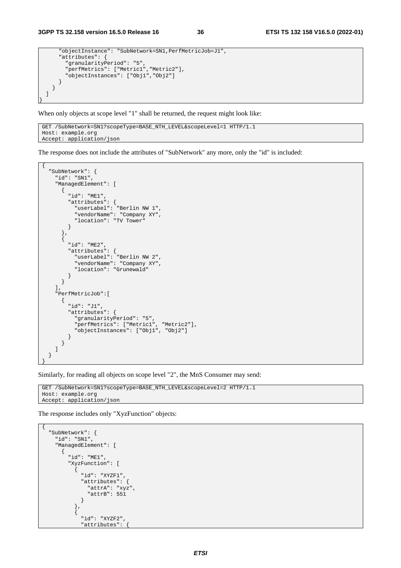```
 "objectInstance": "SubNetwork=SN1,PerfMetricJob=J1", 
       "attributes": { 
         "granularityPeriod": "5", 
         "perfMetrics": ["Metric1","Metric2"], 
          "objectInstances": ["Obj1","Obj2"] 
       } 
    } 
  ] 
}
```
When only objects at scope level "1" shall be returned, the request might look like:

```
GET /SubNetwork=SN1?scopeType=BASE_NTH_LEVEL&scopeLevel=1 HTTP/1.1 
Host: example.org 
Accept: application/json
```
The response does not include the attributes of "SubNetwork" any more, only the "id" is included:

```
{ 
  "SubNetwork": { 
    "id": "SN1", 
    "ManagedElement": [ 
      { 
        "id": "ME1", 
 "attributes": { 
 "userLabel": "Berlin NW 1", 
          "vendorName": "Company XY", 
          "location": "TV Tower" 
        } 
      }, 
      { 
        "id": "ME2", 
        "attributes": { 
 "userLabel": "Berlin NW 2", 
 "vendorName": "Company XY", 
          "location": "Grunewald" 
        } 
      } 
    ], 
    "PerfMetricJob":[ 
      { 
        "id": "J1", 
        "attributes": { 
 "granularityPeriod": "5", 
 "perfMetrics": ["Metric1", "Metric2"], 
        "objectInstances": ["Obj1", "Obj2"] 
 } 
 } 
    ] 
  } 
}
```
Similarly, for reading all objects on scope level "2", the MnS Consumer may send:

```
GET /SubNetwork=SN1?scopeType=BASE_NTH_LEVEL&scopeLevel=2 HTTP/1.1 
Host: example.org 
Accept: application/json
```
The response includes only "XyzFunction" objects:

```
{ 
   "SubNetwork": { 
     "id": "SN1", 
     "ManagedElement": [ 
        { 
          "id": "ME1", 
          "XyzFunction": [ 
           \left\{ \right. "id": "XYZF1", 
               "attributes": { 
                 "attrA": "xyz", 
              "attrB": 551<br>}
 } 
            }, 
            { 
               "id": "XYZF2", 
               "attributes": {
```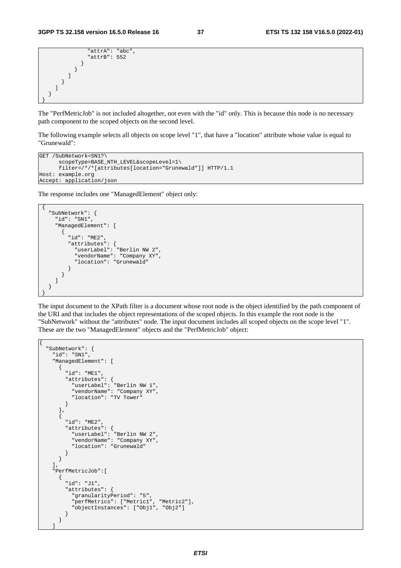```
 "attrA": "abc", 
                 "attrB": 552 
 } 
           } 
         ] 
       } 
    ] 
  } 
}
```
The "PerfMetricJob" is not included altogether, not even with the "id" only. This is because this node is no necessary path component to the scoped objects on the second level.

The following example selects all objects on scope level "1", that have a "location" attribute whose value is equal to "Grunewald":

```
GET /SubNetwork=SN1?\ 
       scopeType=BASE_NTH_LEVEL&scopeLevel=1\ 
       filter=/*/*[attributes[location="Grunewald"]] HTTP/1.1 
Host: example.org 
Accept: application/json
```
The response includes one "ManagedElement" object only:

```
{ 
  "SubNetwork": { 
    "id": "SN1", 
    "ManagedElement": [ 
      { 
         "id": "ME2", 
         "attributes": { 
 "userLabel": "Berlin NW 2", 
 "vendorName": "Company XY", 
          "location": "Grunewald" 
 } 
      } 
    ] 
  } 
}
```
The input document to the XPath filter is a document whose root node is the object identified by the path component of the URI and that includes the object representations of the scoped objects. In this example the root node is the "SubNetwork" without the "attributes" node. The input document includes all scoped objects on the scope level "1". These are the two "ManagedElement" objects and the "PerfMetricJob" object:

```
{ 
  "SubNetwork": { 
     "id": "SN1", 
     "ManagedElement": [ 
       { 
         "id": "ME1", 
         "attributes": { 
           "userLabel": "Berlin NW 1", 
           "vendorName": "Company XY", 
            "location": "TV Tower" 
         } 
       }, 
       { 
         "id": "ME2", 
 "attributes": { 
 "userLabel": "Berlin NW 2", 
           "vendorName": "Company XY", 
           "location": "Grunewald" 
         } 
       } 
     ], 
     "PerfMetricJob":[ 
       { 
         "id": "J1", 
         "attributes": { 
           "granularityPeriod": "5", 
           "perfMetrics": ["Metric1", "Metric2"], 
            "objectInstances": ["Obj1", "Obj2"] 
         } 
       }
```
 $\blacksquare$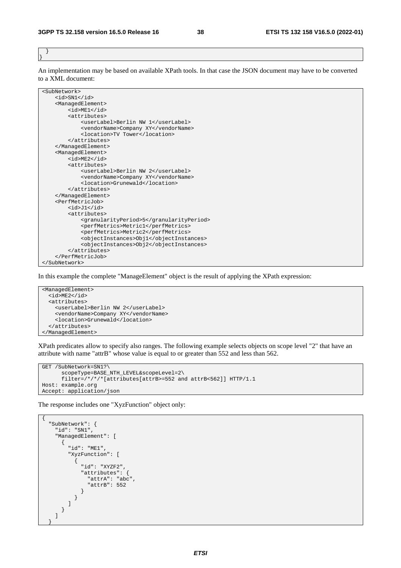} }

An implementation may be based on available XPath tools. In that case the JSON document may have to be converted to a XML document:



In this example the complete "ManageElement" object is the result of applying the XPath expression:

<ManagedElement> <id>ME2</id> <attributes> <userLabel>Berlin NW 2</userLabel> <vendorName>Company XY</vendorName> <location>Grunewald</location> </attributes> </ManagedElement>

XPath predicates allow to specify also ranges. The following example selects objects on scope level "2" that have an attribute with name "attrB" whose value is equal to or greater than 552 and less than 562.

```
GET /SubNetwork=SN1?\ 
       scopeType=BASE_NTH_LEVEL&scopeLevel=2\ 
       filter=/*/*/*[attributes[attrB>=552 and attrB<562]] HTTP/1.1 
Host: example.org 
Accept: application/json
```
The response includes one "XyzFunction" object only:

```
{ 
       "SubNetwork": { 
             "id": "SN1", 
             "ManagedElement": [ 
                   { 
                         "id": "ME1", 
                          "XyzFunction": [ 
\left\{ \begin{array}{ccc} 0 & 0 & 0 \\ 0 & 0 & 0 \\ 0 & 0 & 0 \\ 0 & 0 & 0 \\ 0 & 0 & 0 \\ 0 & 0 & 0 \\ 0 & 0 & 0 \\ 0 & 0 & 0 \\ 0 & 0 & 0 \\ 0 & 0 & 0 \\ 0 & 0 & 0 \\ 0 & 0 & 0 \\ 0 & 0 & 0 \\ 0 & 0 & 0 & 0 \\ 0 & 0 & 0 & 0 \\ 0 & 0 & 0 & 0 \\ 0 & 0 & 0 & 0 & 0 \\ 0 & 0 & 0 & 0 & 0 \\ 0 & 0 & 0 & 0 & 0 \\ 0 & 0 & 0 & 0 "id": "XYZF2", 
                                       "attributes": { 
                                            "attrA": "abc", 
                                             "attrB": 552 
                                     } 
                             } 
                       ] 
                 } 
            ] 
 }
```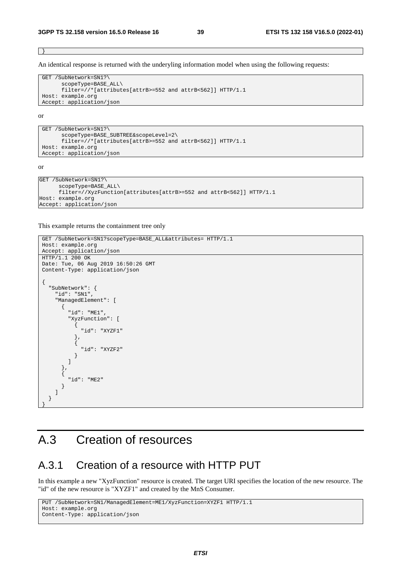}

An identical response is returned with the underyling information model when using the following requests:

```
GET /SubNetwork=SN1?\ 
        scopeType=BASE_ALL\ 
        filter=//*[attributes[attrB>=552 and attrB<562]] HTTP/1.1 
Host: example.org 
Accept: application/json
```
or

```
GET /SubNetwork=SN1?\ 
       scopeType=BASE_SUBTREE&scopeLevel=2\ 
       filter=//*[attributes[attrB>=552 and attrB<562]] HTTP/1.1 
Host: example.org 
Accept: application/json
```
or

```
GET /SubNetwork=SN1?\ 
       scopeType=BASE_ALL\ 
       filter=//XyzFunction[attributes[attrB>=552 and attrB<562]] HTTP/1.1 
Host: example.org 
Accept: application/json
```
This example returns the containment tree only

```
GET /SubNetwork=SN1?scopeType=BASE_ALL&attributes= HTTP/1.1
Host: example.org 
Accept: application/json 
HTTP/1.1 200 OK 
Date: Tue, 06 Aug 2019 16:50:26 GMT 
Content-Type: application/json 
 { 
      "SubNetwork": { 
          "id": "SN1", 
          "ManagedElement": [ 
              { 
                  "id": "ME1", 
                   "XyzFunction": [ 
 \left\{ \begin{array}{ccc} 0 & 0 & 0 \\ 0 & 0 & 0 \\ 0 & 0 & 0 \\ 0 & 0 & 0 \\ 0 & 0 & 0 \\ 0 & 0 & 0 \\ 0 & 0 & 0 \\ 0 & 0 & 0 \\ 0 & 0 & 0 \\ 0 & 0 & 0 \\ 0 & 0 & 0 \\ 0 & 0 & 0 \\ 0 & 0 & 0 \\ 0 & 0 & 0 & 0 \\ 0 & 0 & 0 & 0 \\ 0 & 0 & 0 & 0 \\ 0 & 0 & 0 & 0 & 0 \\ 0 & 0 & 0 & 0 & 0 \\ 0 & 0 & 0 & 0 & 0 \\ 0 & 0 & 0 & 0 "id": "XYZF1" 
                       }, 
 \left\{ \begin{array}{ccc} 1 & 1 & 1 \\ 1 & 1 & 1 \end{array} \right\} "id": "XYZF2" 
  } 
                  ] 
              }, 
               { 
                   "id": "ME2" 
              } 
         ] 
     } 
 }
```
# A.3 Creation of resources

### A.3.1 Creation of a resource with HTTP PUT

In this example a new "XyzFunction" resource is created. The target URI specifies the location of the new resource. The "id" of the new resource is "XYZF1" and created by the MnS Consumer.

```
PUT /SubNetwork=SN1/ManagedElement=ME1/XyzFunction=XYZF1 HTTP/1.1 
Host: example.org 
Content-Type: application/json
```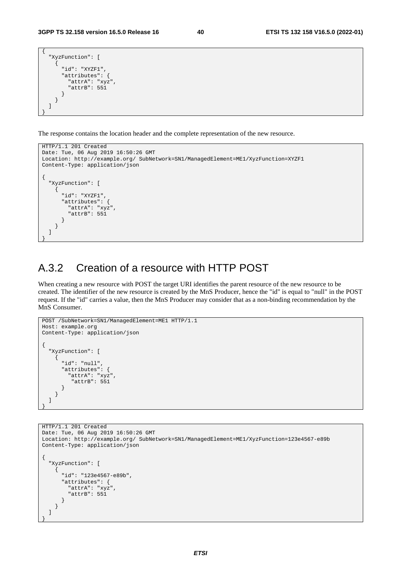```
{ 
   "XyzFunction": [ 
     { 
        "id": "XYZF1", 
        "attributes": { 
           "attrA": "xyz", 
           "attrB": 551 
        } 
     } 
   ] 
}
```
The response contains the location header and the complete representation of the new resource.

```
HTTP/1.1 201 Created 
Date: Tue, 06 Aug 2019 16:50:26 GMT 
Location: http://example.org/ SubNetwork=SN1/ManagedElement=ME1/XyzFunction=XYZF1 
Content-Type: application/json 
{ 
   "XyzFunction": [ 
    \left\{ \right. "id": "XYZF1", 
        "attributes": { 
          "attrA": "xyz", 
          "attrB": 551 
        } 
     } 
   ] 
}
```
### A.3.2 Creation of a resource with HTTP POST

When creating a new resource with POST the target URI identifies the parent resource of the new resource to be created. The identifier of the new resource is created by the MnS Producer, hence the "id" is equal to "null" in the POST request. If the "id" carries a value, then the MnS Producer may consider that as a non-binding recommendation by the MnS Consumer.

```
POST /SubNetwork=SN1/ManagedElement=ME1 HTTP/1.1 
Host: example.org 
Content-Type: application/json 
{ 
   "XyzFunction": [ 
     { 
       "id": "null", 
       "attributes": { 
 "attrA": "xyz", 
 "attrB": 551 
       } 
     } 
   ] 
}
```

```
HTTP/1.1 201 Created 
Date: Tue, 06 Aug 2019 16:50:26 GMT 
Location: http://example.org/ SubNetwork=SN1/ManagedElement=ME1/XyzFunction=123e4567-e89b 
Content-Type: application/json 
{ 
   "XyzFunction": [ 
     { 
       "id": "123e4567-e89b", 
       "attributes": { 
         "attrA": "xyz", 
          "attrB": 551 
       } 
     } 
   ] 
}
```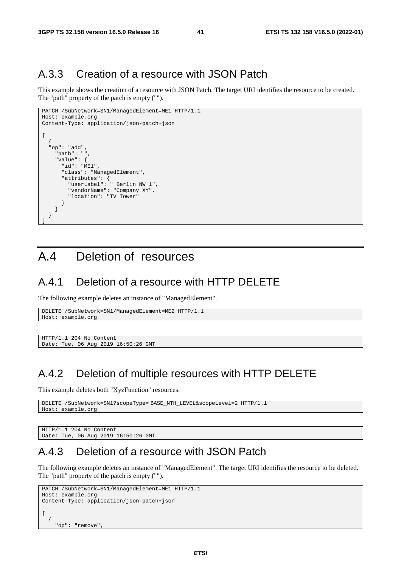### A.3.3 Creation of a resource with JSON Patch

This example shows the creation of a resource with JSON Patch. The target URI identifies the resource to be created. The "path" property of the patch is empty ("").

```
PATCH /SubNetwork=SN1/ManagedElement=ME1 HTTP/1.1 
Host: example.org 
Content-Type: application/json-patch+json 
\sqrt{ } { 
   "op": "add", 
     "path": "", 
     "value": { 
       "id": "ME1", 
       "class": "ManagedElement", 
 "attributes": { 
 "userLabel": " Berlin NW 1", 
          "vendorName": "Company XY", 
          "location": "TV Tower" 
       } 
     } 
   } 
]
```
# A.4 Deletion of resources

#### A.4.1 Deletion of a resource with HTTP DELETE

The following example deletes an instance of "ManagedElement".

```
DELETE /SubNetwork=SN1/ManagedElement=ME2 HTTP/1.1 
Host: example.org
```

```
HTTP/1.1 204 No Content 
Date: Tue, 06 Aug 2019 16:50:26 GMT
```
### A.4.2 Deletion of multiple resources with HTTP DELETE

This example deletes both "XyzFunction" resources.

```
DELETE /SubNetwork=SN1?scopeType= BASE_NTH_LEVEL&scopeLevel=2 HTTP/1.1 
Host: example.org
```

```
HTTP/1.1 204 No Content 
Date: Tue, 06 Aug 2019 16:50:26 GMT
```
### A.4.3 Deletion of a resource with JSON Patch

The following example deletes an instance of "ManagedElement". The target URI identifies the resource to be deleted. The "path" property of the patch is empty ("").

```
PATCH /SubNetwork=SN1/ManagedElement=ME1 HTTP/1.1 
Host: example.org 
Content-Type: application/json-patch+json 
\sqrt{ }\{ "op": "remove",
```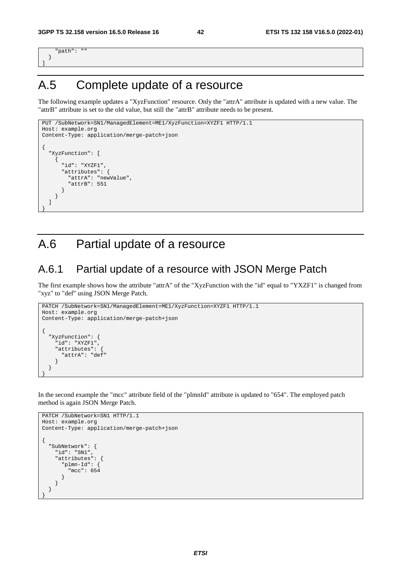"path": "" } ]

}

}

# A.5 Complete update of a resource

The following example updates a "XyzFunction" resource. Only the "attrA" attribute is updated with a new value. The "attrB" attribute is set to the old value, but still the "attrB" attribute needs to be present.

```
PUT /SubNetwork=SN1/ManagedElement=ME1/XyzFunction=XYZF1 HTTP/1.1 
Host: example.org 
Content-Type: application/merge-patch+json 
{ 
   "XyzFunction": [ 
     { 
       "id": "XYZF1", 
       "attributes": { 
          "attrA": "newValue", 
          "attrB": 551 
       } 
     } 
   ]
```
# A.6 Partial update of a resource

#### A.6.1 Partial update of a resource with JSON Merge Patch

The first example shows how the attribute "attrA" of the "XyzFunction with the "id" equal to "YXZF1" is changed from "xyz" to "def" using JSON Merge Patch.

```
PATCH /SubNetwork=SN1/ManagedElement=ME1/XyzFunction=XYZF1 HTTP/1.1 
Host: example.org 
Content-Type: application/merge-patch+json 
{ 
   "XyzFunction": { 
     "id": "XYZF1", 
     "attributes": { 
       "attrA": "def" 
     } 
   }
```
In the second example the "mcc" attribute field of the "plmnId" attribute is updated to "654". The employed patch method is again JSON Merge Patch.

```
PATCH /SubNetwork=SN1 HTTP/1.1 
Host: example.org 
Content-Type: application/merge-patch+json 
{ 
   "SubNetwork": { 
     "id": "SN1", 
     "attributes": { 
        "plmn-Id": { 
          "mcc": 654 
        } 
     } 
   } 
}
```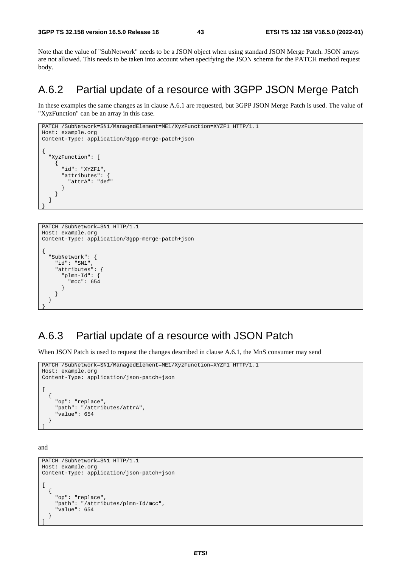Note that the value of "SubNetwork" needs to be a JSON object when using standard JSON Merge Patch. JSON arrays are not allowed. This needs to be taken into account when specifying the JSON schema for the PATCH method request body.

### A.6.2 Partial update of a resource with 3GPP JSON Merge Patch

In these examples the same changes as in clause A.6.1 are requested, but 3GPP JSON Merge Patch is used. The value of "XyzFunction" can be an array in this case.

```
PATCH /SubNetwork=SN1/ManagedElement=ME1/XyzFunction=XYZF1 HTTP/1.1 
Host: example.org 
Content-Type: application/3gpp-merge-patch+json 
{ 
   "XyzFunction": [ 
     { 
        "id": "XYZF1", 
        "attributes": { 
          "attrA": "def" 
        } 
     } 
   ] 
}
```

```
PATCH /SubNetwork=SN1 HTTP/1.1 
Host: example.org 
Content-Type: application/3gpp-merge-patch+json 
{ 
   "SubNetwork": { 
     "id": "SN1", 
     "attributes": { 
        "plmn-Id": { 
          "mcc": 654 
        } 
     } 
   } 
}
```
### A.6.3 Partial update of a resource with JSON Patch

When JSON Patch is used to request the changes described in clause A.6.1, the MnS consumer may send

```
PATCH /SubNetwork=SN1/ManagedElement=ME1/XyzFunction=XYZF1 HTTP/1.1 
Host: example.org 
Content-Type: application/json-patch+json 
\sqrt{2} { 
     "op": "replace", 
 "path": "/attributes/attrA", 
 "value": 654 
   }
```
and

]

```
PATCH /SubNetwork=SN1 HTTP/1.1 
Host: example.org 
Content-Type: application/json-patch+json 
[ 
   { 
     "op": "replace", 
      "path": "/attributes/plmn-Id/mcc", 
     -<br>'value": 654
   } 
\overline{1}
```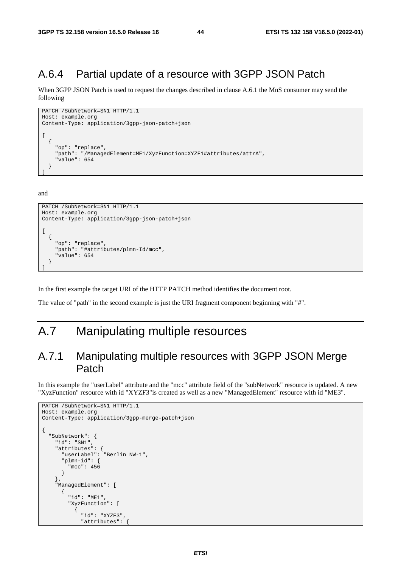### A.6.4 Partial update of a resource with 3GPP JSON Patch

When 3GPP JSON Patch is used to request the changes described in clause A.6.1 the MnS consumer may send the following

```
PATCH /SubNetwork=SN1 HTTP/1.1 
Host: example.org 
Content-Type: application/3gpp-json-patch+json 
\sqrt{ } { 
     "op": "replace", 
     "path": "/ManagedElement=ME1/XyzFunction=XYZF1#attributes/attrA", 
     "value": 654 
   } 
]
```
and

```
PATCH /SubNetwork=SN1 HTTP/1.1 
Host: example.org 
Content-Type: application/3gpp-json-patch+json 
[ 
   { 
     "op": "replace", 
     "path": "#attributes/plmn-Id/mcc", 
      "value": 654 
   } 
]
```
In the first example the target URI of the HTTP PATCH method identifies the document root.

The value of "path" in the second example is just the URI fragment component beginning with "#".

# A.7 Manipulating multiple resources

### A.7.1 Manipulating multiple resources with 3GPP JSON Merge Patch

In this example the "userLabel" attribute and the "mcc" attribute field of the "subNetwork" resource is updated. A new "XyzFunction" resource with id "XYZF3"is created as well as a new "ManagedElement" resource with id "ME3".

```
PATCH /SubNetwork=SN1 HTTP/1.1 
Host: example.org 
Content-Type: application/3gpp-merge-patch+json 
{ 
    "SubNetwork": { 
      "id": "SN1", 
      "attributes": { 
                          .<br>"Berlin NW-1",
         "plmn-id": { 
            "mcc": 456 
         } 
      }, 
      "ManagedElement": [ 
         { 
            "id": "ME1", 
            "XyzFunction": [ 
\left\{ \begin{array}{ccc} 1 & 1 & 1 \\ 1 & 1 & 1 \end{array} \right\} "id": "XYZF3", 
                  "attributes": {
```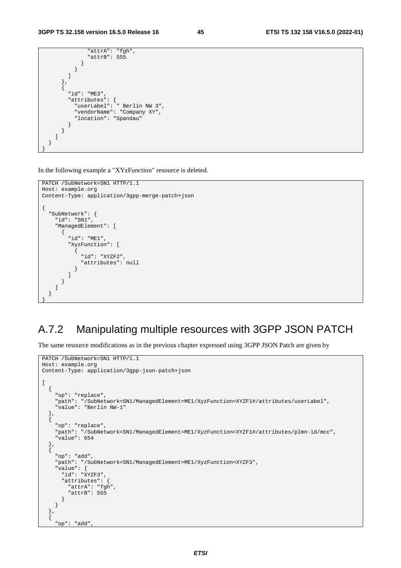```
 "attrA": "fgh", 
                  "attrB": 555 
               } 
            } 
          ] 
        }, 
\left\{ \begin{array}{c} 1 \end{array} \right\} "id": "ME3", 
 "attributes": { 
 "userLabel": " Berlin NW 3", 
 "vendorName": "Company XY", 
            "location": "Spandau" 
          } 
       } 
     ] 
  } 
}
```
In the following example a "XYzFunction" resource is deleted.

```
PATCH /SubNetwork=SN1 HTTP/1.1 
Host: example.org 
Content-Type: application/3gpp-merge-patch+json 
{ 
    "SubNetwork": { 
       "id": "SN1", 
       "ManagedElement": [ 
         { 
            "id": "ME1", 
            "XyzFunction": [ 
\left\{ \begin{array}{ccc} 1 & 1 & 1 \\ 1 & 1 & 1 \end{array} \right\} "id": "XYZF2", 
                  "attributes": null 
               } 
            ] 
         } 
      ] 
   } 
}
```
# A.7.2 Manipulating multiple resources with 3GPP JSON PATCH

The same resource modifications as in the previous chapter expressed using 3GPP JSON Patch are given by

```
PATCH /SubNetwork=SN1 HTTP/1.1 
Host: example.org 
Content-Type: application/3gpp-json-patch+json 
[ 
   { 
     "op": "replace", 
 "path": "/SubNetwork=SN1/ManagedElement=ME1/XyzFunction=XYZF1#/attributes/userLabel", 
 "value": "Berlin NW-1" 
   }, 
   { 
     "op": "replace", 
 "path": "/SubNetwork=SN1/ManagedElement=ME1/XyzFunction=XYZF1#/attributes/plmn-id/mcc", 
 "value": 654 
   }, 
\{ "op": "add", 
     "path": "/SubNetwork=SN1/ManagedElement=ME1/XyzFunction=XYZF3", 
     "value": { 
       "id": "XYZF3", 
       "attributes": { 
         "attrA": "fgh", 
          "attrB": 555 
       } 
     } 
   }, 
  \ddot{\text{}} "op": "add",
```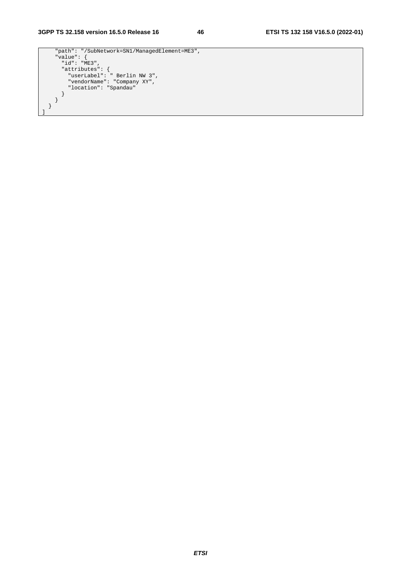```
 "path": "/SubNetwork=SN1/ManagedElement=ME3", 
 "value": { 
 "id": "ME3", 
 "attributes": { 
 "userLabel": " Berlin NW 3", 
 "vendorName": "Company XY", 
 "location": "Spandau" 
 } 
   } 
  } 
]
```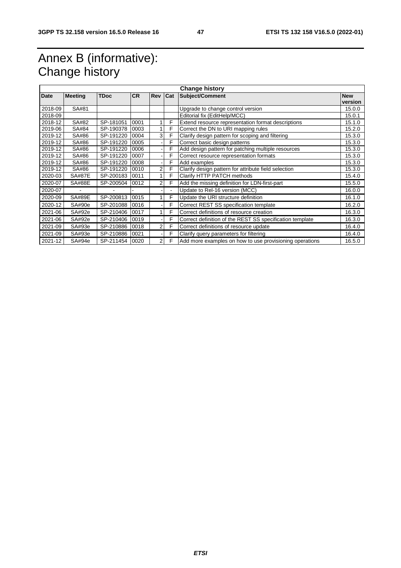# Annex B (informative): Change history

| <b>Change history</b> |                |             |           |                |                |                                                          |            |  |
|-----------------------|----------------|-------------|-----------|----------------|----------------|----------------------------------------------------------|------------|--|
| Date                  | <b>Meeting</b> | <b>TDoc</b> | <b>CR</b> | <b>Rev</b>     | Cat            | <b>Subject/Comment</b>                                   | <b>New</b> |  |
|                       |                |             |           |                |                |                                                          | version    |  |
| 2018-09               | SA#81          |             |           |                |                | Upgrade to change control version                        | 15.0.0     |  |
| 2018-09               |                |             |           |                |                | Editorial fix (EditHelp/MCC)                             | 15.0.1     |  |
| 2018-12               | SA#82          | SP-181051   | 0001      |                | F              | Extend resource representation format descriptions       | 15.1.0     |  |
| 2019-06               | SA#84          | SP-190378   | 0003      |                | F              | Correct the DN to URI mapping rules                      | 15.2.0     |  |
| 2019-12               | SA#86          | SP-191220   | 0004      | 3 <sub>l</sub> | F              | Clarify design pattern for scoping and filtering         | 15.3.0     |  |
| 2019-12               | SA#86          | SP-191220   | 0005      |                | F              | Correct basic design patterns                            | 15.3.0     |  |
| 2019-12               | SA#86          | SP-191220   | 0006      |                | F              | Add design pattern for patching multiple resources       | 15.3.0     |  |
| 2019-12               | SA#86          | SP-191220   | 0007      |                | F              | Correct resource representation formats                  | 15.3.0     |  |
| 2019-12               | SA#86          | SP-191220   | 0008      |                | F              | Add examples                                             | 15.3.0     |  |
| 2019-12               | SA#86          | SP-191220   | 0010      | 2              | F              | Clarify design pattern for attribute field selection     | 15.3.0     |  |
| 2020-03               | <b>SA#87E</b>  | SP-200183   | 0011      |                | F              | Clarify HTTP PATCH methods                               | 15.4.0     |  |
| 2020-07               | <b>SA#88E</b>  | SP-200504   | 0012      | 2              | F              | Add the missing definition for LDN-first-part            | 15.5.0     |  |
| 2020-07               |                |             |           |                | $\blacksquare$ | Update to Rel-16 version (MCC)                           | 16.0.0     |  |
| 2020-09               | <b>SA#89E</b>  | SP-200813   | 0015      | 1              | F              | Update the URI structure definition                      | 16.1.0     |  |
| 2020-12               | SA#90e         | SP-201088   | 0016      |                | F              | Correct REST SS specification template                   | 16.2.0     |  |
| 2021-06               | SA#92e         | SP-210406   | 0017      |                | F              | Correct definitions of resource creation                 | 16.3.0     |  |
| 2021-06               | SA#92e         | SP-210406   | 0019      |                | F              | Correct definition of the REST SS specification template | 16.3.0     |  |
| 2021-09               | SA#93e         | SP-210886   | 0018      | 2              | F              | Correct definitions of resource update                   | 16.4.0     |  |
| 2021-09               | SA#93e         | SP-210886   | 0021      |                | F              | Clarify query parameters for filtering                   | 16.4.0     |  |
| 2021-12               | SA#94e         | SP-211454   | 0020      | $\overline{2}$ | F              | Add more examples on how to use provisioning operations  | 16.5.0     |  |